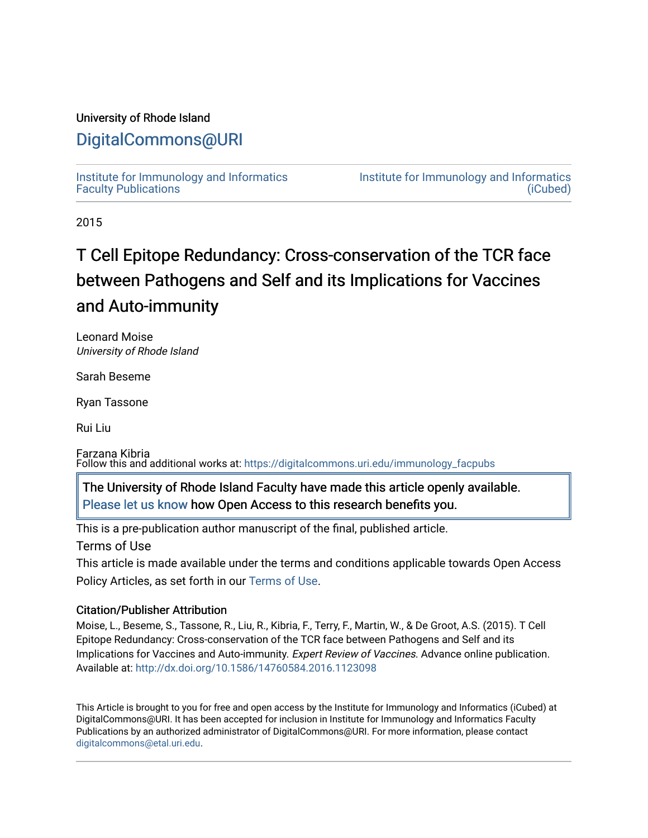#### University of Rhode Island

## [DigitalCommons@URI](https://digitalcommons.uri.edu/)

[Institute for Immunology and Informatics](https://digitalcommons.uri.edu/immunology_facpubs) [Faculty Publications](https://digitalcommons.uri.edu/immunology_facpubs)

[Institute for Immunology and Informatics](https://digitalcommons.uri.edu/immunology)  [\(iCubed\)](https://digitalcommons.uri.edu/immunology) 

2015

# T Cell Epitope Redundancy: Cross-conservation of the TCR face between Pathogens and Self and its Implications for Vaccines and Auto-immunity

Leonard Moise University of Rhode Island

Sarah Beseme

Ryan Tassone

Rui Liu

Farzana Kibria Follow this and additional works at: [https://digitalcommons.uri.edu/immunology\\_facpubs](https://digitalcommons.uri.edu/immunology_facpubs?utm_source=digitalcommons.uri.edu%2Fimmunology_facpubs%2F77&utm_medium=PDF&utm_campaign=PDFCoverPages)

|<br>| [Please let us know](http://web.uri.edu/library-digital-initiatives/open-access-online-form/) how Open Access to this research benefits you. The University of Rhode Island Faculty have made this article openly available.

This is a pre-publication author manuscript of the final, published article.

Terms of Use

This article is made available under the terms and conditions applicable towards Open Access Policy Articles, as set forth in our [Terms of Use](https://digitalcommons.uri.edu/immunology_facpubs/oa_policy_terms.html).

#### Citation/Publisher Attribution

Moise, L., Beseme, S., Tassone, R., Liu, R., Kibria, F., Terry, F., Martin, W., & De Groot, A.S. (2015). T Cell Epitope Redundancy: Cross-conservation of the TCR face between Pathogens and Self and its Implications for Vaccines and Auto-immunity. Expert Review of Vaccines. Advance online publication. Available at:<http://dx.doi.org/10.1586/14760584.2016.1123098>

This Article is brought to you for free and open access by the Institute for Immunology and Informatics (iCubed) at DigitalCommons@URI. It has been accepted for inclusion in Institute for Immunology and Informatics Faculty Publications by an authorized administrator of DigitalCommons@URI. For more information, please contact [digitalcommons@etal.uri.edu](mailto:digitalcommons@etal.uri.edu).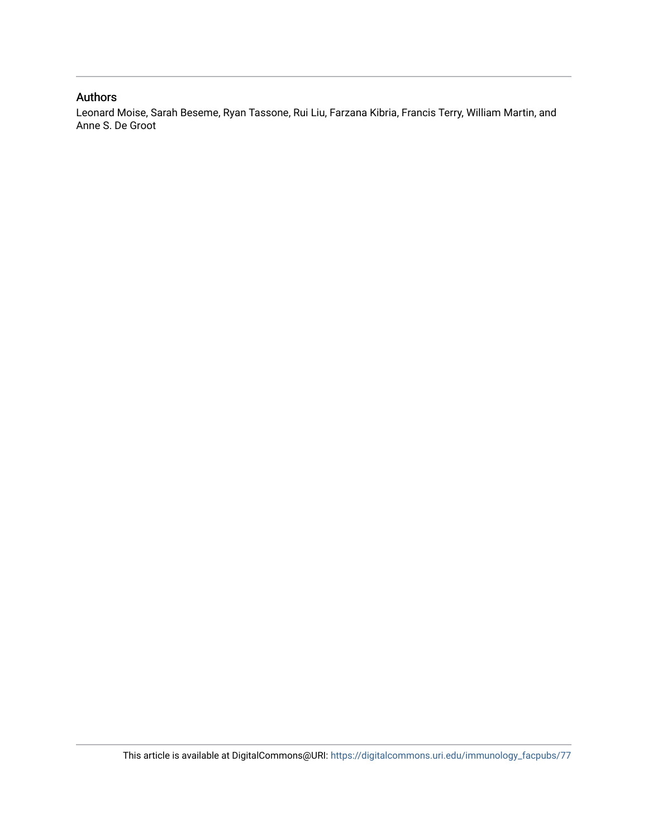### Authors

Leonard Moise, Sarah Beseme, Ryan Tassone, Rui Liu, Farzana Kibria, Francis Terry, William Martin, and Anne S. De Groot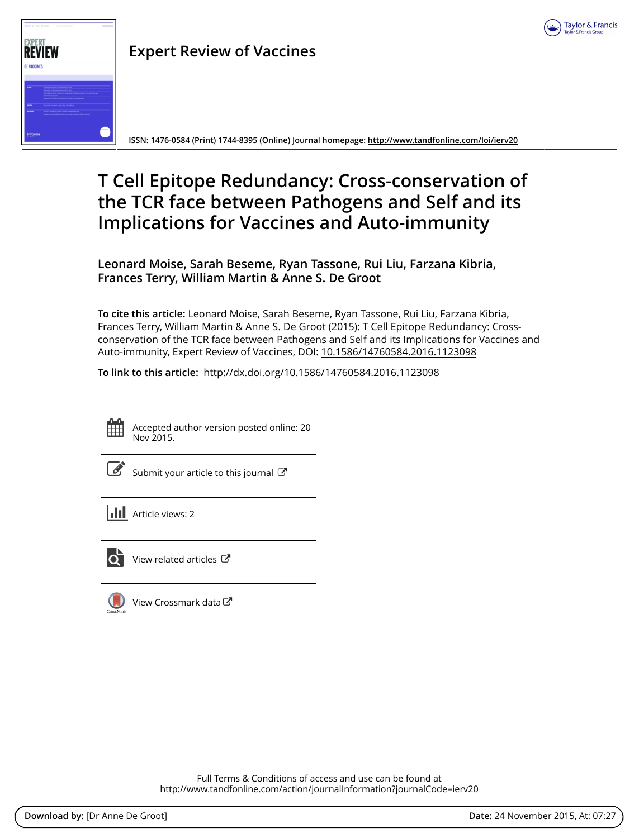



# **Expert Review of Vaccines**

**ISSN: 1476-0584 (Print) 1744-8395 (Online) Journal homepage:<http://www.tandfonline.com/loi/ierv20>**

# **T Cell Epitope Redundancy: Cross-conservation of the TCR face between Pathogens and Self and its Implications for Vaccines and Auto-immunity**

**Leonard Moise, Sarah Beseme, Ryan Tassone, Rui Liu, Farzana Kibria, Frances Terry, William Martin & Anne S. De Groot**

**To cite this article:** Leonard Moise, Sarah Beseme, Ryan Tassone, Rui Liu, Farzana Kibria, Frances Terry, William Martin & Anne S. De Groot (2015): T Cell Epitope Redundancy: Crossconservation of the TCR face between Pathogens and Self and its Implications for Vaccines and Auto-immunity, Expert Review of Vaccines, DOI: [10.1586/14760584.2016.1123098](http://www.tandfonline.com/action/showCitFormats?doi=10.1586/14760584.2016.1123098)

**To link to this article:** <http://dx.doi.org/10.1586/14760584.2016.1123098>



Accepted author version posted online: 20 Nov 2015.

[Submit your article to this journal](http://www.tandfonline.com/action/authorSubmission?journalCode=ierv20&page=instructions)  $\mathbb{Z}$ 

**Article views: 2** 



 $\overline{\mathbf{Q}}$  [View related articles](http://www.tandfonline.com/doi/mlt/10.1586/14760584.2016.1123098)  $\mathbf{C}$ 

 $\bigcirc$  [View Crossmark data](http://crossmark.crossref.org/dialog/?doi=10.1586/14760584.2016.1123098&domain=pdf&date_stamp=2015-11-20) $\mathbb{Z}$ 

Full Terms & Conditions of access and use can be found at <http://www.tandfonline.com/action/journalInformation?journalCode=ierv20>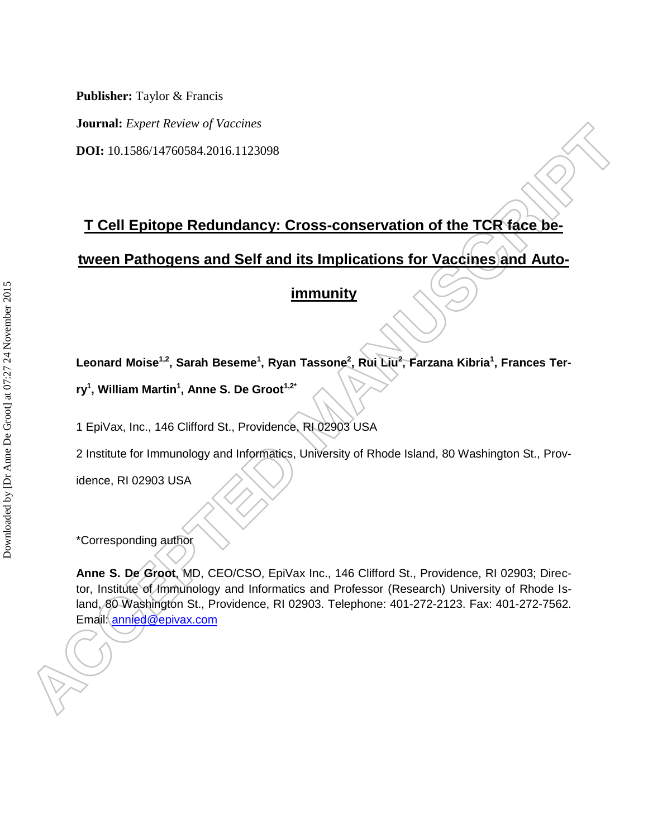**Journal:** *Expert Review of Vaccines*

**DOI:** 10.1586/14760584.2016.1123098

# **T Cell Epitope Redundancy: Cross-conservation of the TCR face be-**

**tween Pathogens and Self and its Implications for Vaccines and Auto-**

### **immunity**

**Leonard Moise1,2, Sarah Beseme<sup>1</sup> , Ryan Tassone<sup>2</sup> , Rui Liu<sup>2</sup> , Farzana Kibria<sup>1</sup> , Frances Ter-**

**ry<sup>1</sup> , William Martin<sup>1</sup> , Anne S. De Groot1,2\***

1 EpiVax, Inc., 146 Clifford St., Providence, RI 02903 USA

2 Institute for Immunology and Informatics, University of Rhode Island, 80 Washington St., Prov-

idence, RI 02903 USA

\*Corresponding author

**Anne S. De Groot**, MD, CEO/CSO, EpiVax Inc., 146 Clifford St., Providence, RI 02903; Director, Institute of Immunology and Informatics and Professor (Research) University of Rhode Island, 80 Washington St., Providence, RI 02903. Telephone: 401-272-2123. Fax: 401-272-7562. Email: [annied@epivax.com](mailto:annied@epivax.com)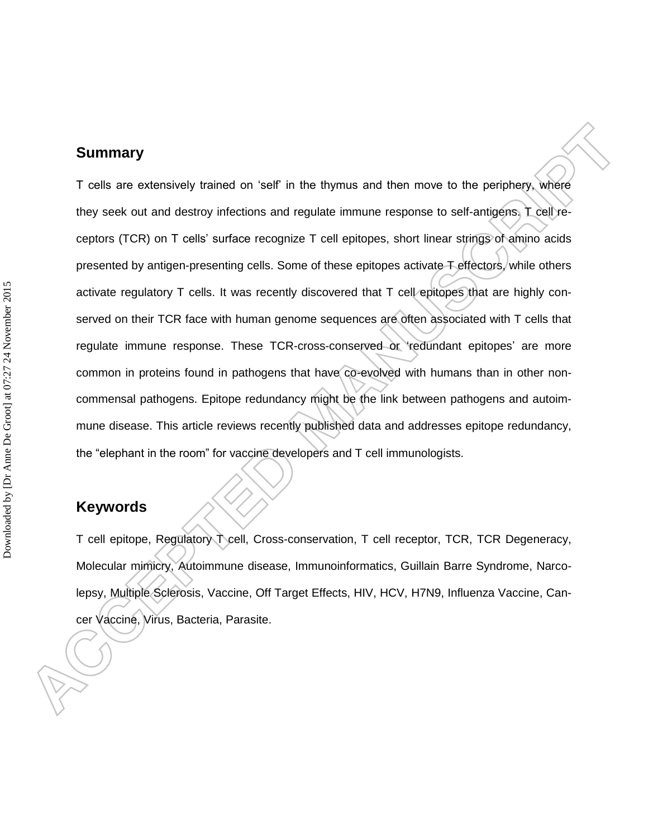#### **Summary**

T cells are extensively trained on 'self' in the thymus and then move to the periphery, where they seek out and destroy infections and regulate immune response to self-antigens. T cell receptors (TCR) on T cells' surface recognize T cell epitopes, short linear strings of amino acids presented by antigen-presenting cells. Some of these epitopes activate T effectors, while others activate regulatory T cells. It was recently discovered that T cell epitopes that are highly conserved on their TCR face with human genome sequences are often associated with T cells that regulate immune response. These TCR-cross-conserved or 'redundant epitopes' are more common in proteins found in pathogens that have co-evolved with humans than in other noncommensal pathogens. Epitope redundancy might be the link between pathogens and autoimmune disease. This article reviews recently published data and addresses epitope redundancy, the "elephant in the room" for vaccine developers and T cell immunologists.

### **Keywords**

T cell epitope, Regulatory T cell, Cross-conservation, T cell receptor, TCR, TCR Degeneracy, Molecular mimicry, Autoimmune disease, Immunoinformatics, Guillain Barre Syndrome, Narcolepsy, Multiple Sclerosis, Vaccine, Off Target Effects, HIV, HCV, H7N9, Influenza Vaccine, Cancer Vaccine, Virus, Bacteria, Parasite.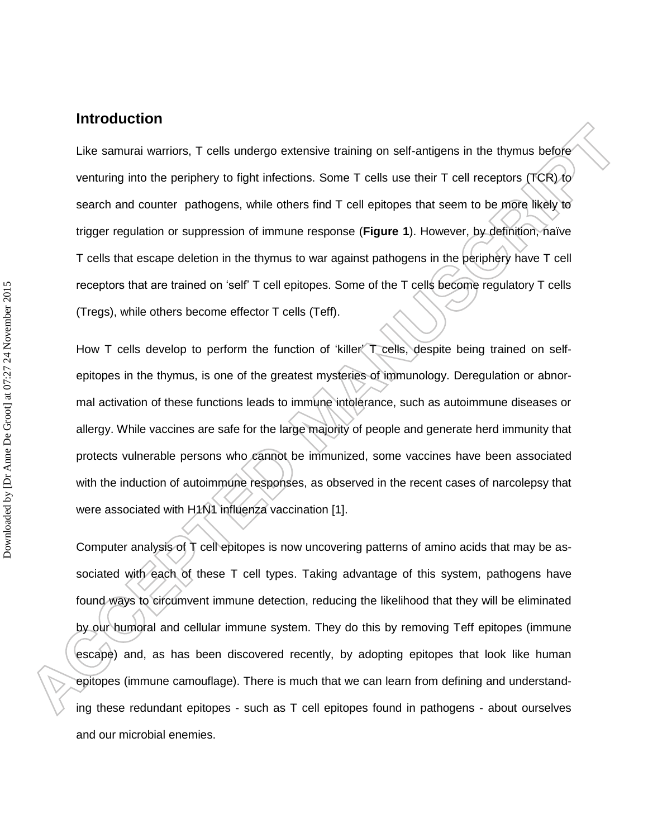#### **Introduction**

Like samurai warriors, T cells undergo extensive training on self-antigens in the thymus before venturing into the periphery to fight infections. Some T cells use their T cell receptors (TCR) to search and counter pathogens, while others find T cell epitopes that seem to be more likely to trigger regulation or suppression of immune response (**Figure 1**). However, by definition, naïve T cells that escape deletion in the thymus to war against pathogens in the periphery have T cell receptors that are trained on 'self' T cell epitopes. Some of the T cells become regulatory T cells (Tregs), while others become effector T cells (Teff).

How T cells develop to perform the function of 'killer' T cells, despite being trained on selfepitopes in the thymus, is one of the greatest mysteries of immunology. Deregulation or abnormal activation of these functions leads to immune intolerance, such as autoimmune diseases or allergy. While vaccines are safe for the large majority of people and generate herd immunity that protects vulnerable persons who cannot be immunized, some vaccines have been associated with the induction of autoimmune responses, as observed in the recent cases of narcolepsy that were associated with H1N1 influenza vaccination [1].

Computer analysis of T cell epitopes is now uncovering patterns of amino acids that may be associated with each of these T cell types. Taking advantage of this system, pathogens have found ways to circumvent immune detection, reducing the likelihood that they will be eliminated by our humoral and cellular immune system. They do this by removing Teff epitopes (immune escape) and, as has been discovered recently, by adopting epitopes that look like human epitopes (immune camouflage). There is much that we can learn from defining and understanding these redundant epitopes - such as T cell epitopes found in pathogens - about ourselves and our microbial enemies.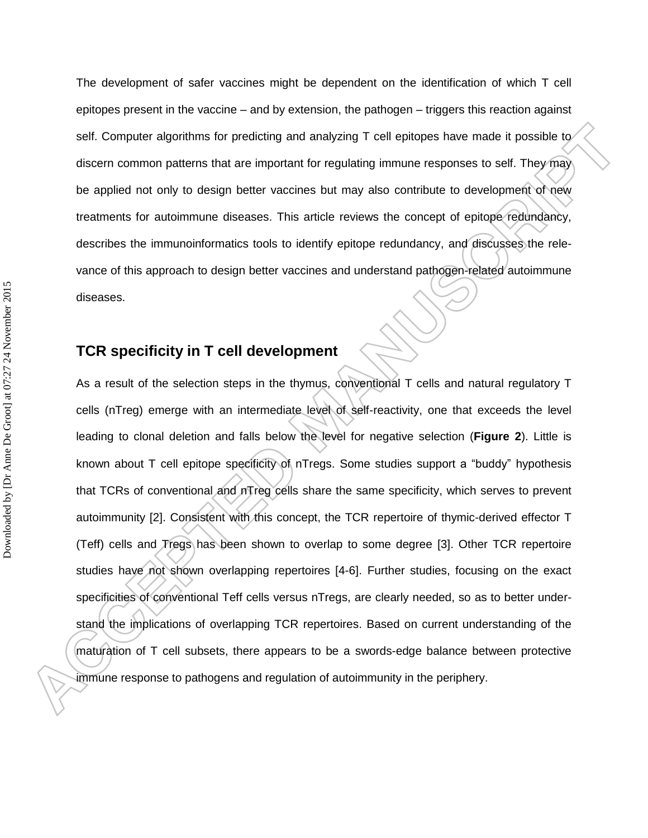The development of safer vaccines might be dependent on the identification of which T cell epitopes present in the vaccine – and by extension, the pathogen – triggers this reaction against self. Computer algorithms for predicting and analyzing T cell epitopes have made it possible to discern common patterns that are important for regulating immune responses to self. They may be applied not only to design better vaccines but may also contribute to development of new treatments for autoimmune diseases. This article reviews the concept of epitope redundancy, describes the immunoinformatics tools to identify epitope redundancy, and discusses the relevance of this approach to design better vaccines and understand pathogen-related autoimmune diseases.

### **TCR specificity in T cell development**

As a result of the selection steps in the thymus, conventional T cells and natural regulatory T cells (nTreg) emerge with an intermediate level of self-reactivity, one that exceeds the level leading to clonal deletion and falls below the level for negative selection (**Figure 2**). Little is known about T cell epitope specificity of nTregs. Some studies support a "buddy" hypothesis that TCRs of conventional and nTreg cells share the same specificity, which serves to prevent autoimmunity [2]. Consistent with this concept, the TCR repertoire of thymic-derived effector T (Teff) cells and Tregs has been shown to overlap to some degree [3]. Other TCR repertoire studies have not shown overlapping repertoires [4-6]. Further studies, focusing on the exact specificities of conventional Teff cells versus nTregs, are clearly needed, so as to better understand the implications of overlapping TCR repertoires. Based on current understanding of the maturation of T cell subsets, there appears to be a swords-edge balance between protective immune response to pathogens and regulation of autoimmunity in the periphery.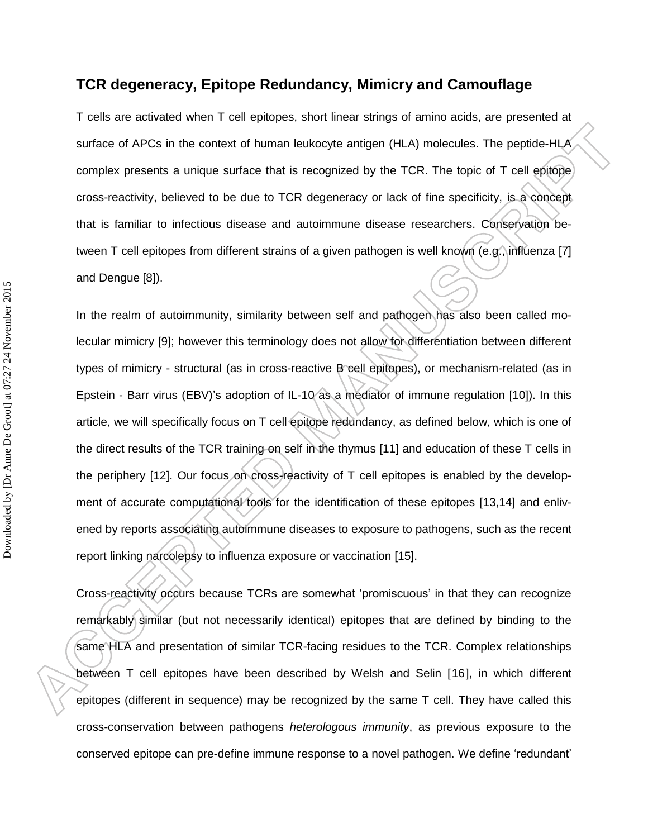### **TCR degeneracy, Epitope Redundancy, Mimicry and Camouflage**

T cells are activated when T cell epitopes, short linear strings of amino acids, are presented at surface of APCs in the context of human leukocyte antigen (HLA) molecules. The peptide-HLA complex presents a unique surface that is recognized by the TCR. The topic of T cell epitope cross-reactivity, believed to be due to TCR degeneracy or lack of fine specificity, is a concept that is familiar to infectious disease and autoimmune disease researchers. Conservation between T cell epitopes from different strains of a given pathogen is well known (e.g., influenza [7] and Dengue [8]).

In the realm of autoimmunity, similarity between self and pathogen has also been called molecular mimicry [9]; however this terminology does not allow for differentiation between different types of mimicry - structural (as in cross-reactive B cell epitopes), or mechanism-related (as in Epstein - Barr virus (EBV)'s adoption of IL-10 as a mediator of immune regulation [10]). In this article, we will specifically focus on T cell epitope redundancy, as defined below, which is one of the direct results of the TCR training on self in the thymus [11] and education of these T cells in the periphery [12]. Our focus on cross-reactivity of T cell epitopes is enabled by the development of accurate computational tools for the identification of these epitopes [13,14] and enlivened by reports associating autoimmune diseases to exposure to pathogens, such as the recent report linking narcolepsy to influenza exposure or vaccination [15].

<span id="page-7-4"></span><span id="page-7-3"></span><span id="page-7-2"></span><span id="page-7-1"></span><span id="page-7-0"></span>Cross-reactivity occurs because TCRs are somewhat 'promiscuous' in that they can recognize remarkably similar (but not necessarily identical) epitopes that are defined by binding to the same HLA and presentation of similar TCR-facing residues to the TCR. Complex relationships between T cell epitopes have been described by Welsh and Selin [16], in which different epitopes (different in sequence) may be recognized by the same T cell. They have called this cross-conservation between pathogens *heterologous immunity*, as previous exposure to the conserved epitope can pre-define immune response to a novel pathogen. We define 'redundant'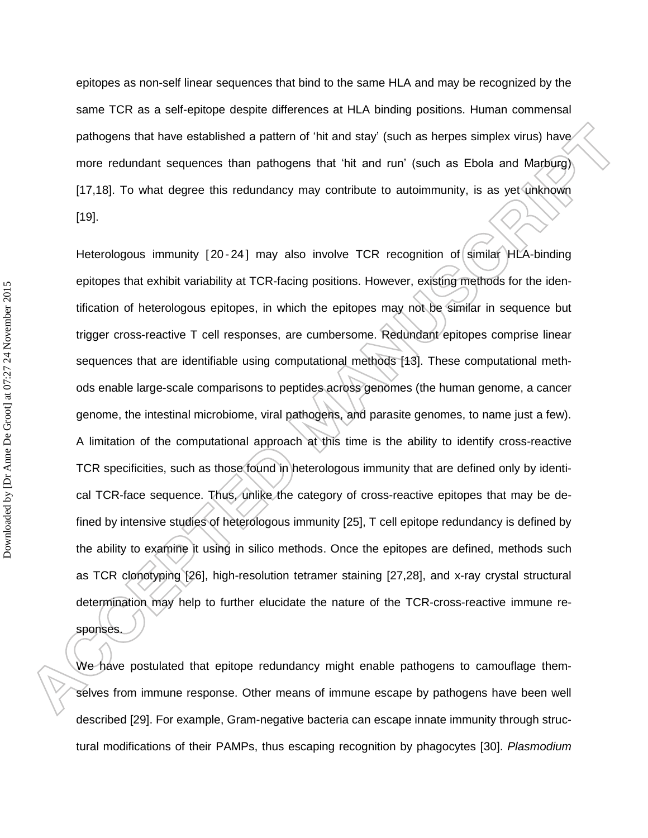epitopes as non-self linear sequences that bind to the same HLA and may be recognized by the same TCR as a self-epitope despite differences at HLA binding positions. Human commensal pathogens that have established a pattern of 'hit and stay' (such as herpes simplex virus) have more redundant sequences than pathogens that 'hit and run' (such as Ebola and Marburg) [17,18]. To what degree this redundancy may contribute to autoimmunity, is as yet unknown [19].

<span id="page-8-0"></span>Heterologous immunity [20-24] may also involve TCR recognition of similar HLA-binding epitopes that exhibit variability at TCR-facing positions. However, existing methods for the identification of heterologous epitopes, in which the epitopes may not be similar in sequence but trigger cross-reactive T cell responses, are cumbersome. Redundant epitopes comprise linear sequences that are identifiable using computational methods [\[13\]](#page-7-0). These computational methods enable large-scale comparisons to peptides across genomes (the human genome, a cancer genome, the intestinal microbiome, viral pathogens, and parasite genomes, to name just a few). A limitation of the computational approach at this time is the ability to identify cross-reactive TCR specificities, such as those found in heterologous immunity that are defined only by identical TCR-face sequence. Thus, unlike the category of cross-reactive epitopes that may be defined by intensive studies of heterologous immunity [25], T cell epitope redundancy is defined by the ability to examine it using in silico methods. Once the epitopes are defined, methods such as TCR clonotyping [26], high-resolution tetramer staining [27,28], and x-ray crystal structural determination may help to further elucidate the nature of the TCR-cross-reactive immune responses.

We have postulated that epitope redundancy might enable pathogens to camouflage themselves from immune response. Other means of immune escape by pathogens have been well described [29]. For example, Gram-negative bacteria can escape innate immunity through structural modifications of their PAMPs, thus escaping recognition by phagocytes [30]. *Plasmodium*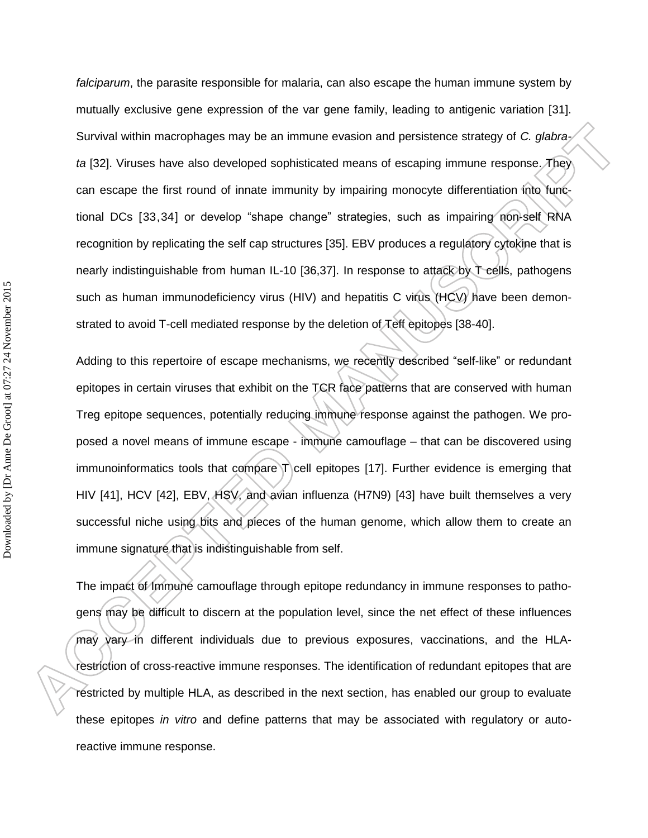*falciparum*, the parasite responsible for malaria, can also escape the human immune system by mutually exclusive gene expression of the var gene family, leading to antigenic variation [31]. Survival within macrophages may be an immune evasion and persistence strategy of *C. glabrata* [32]. Viruses have also developed sophisticated means of escaping immune response. They can escape the first round of innate immunity by impairing monocyte differentiation into functional DCs [33,34] or develop "shape change" strategies, such as impairing non-self RNA recognition by replicating the self cap structures [35]. EBV produces a regulatory cytokine that is nearly indistinguishable from human IL-10 [36,37]. In response to attack by T cells, pathogens such as human immunodeficiency virus (HIV) and hepatitis C virus (HCV) have been demonstrated to avoid T-cell mediated response by the deletion of Teff epitopes [38-40].

Adding to this repertoire of escape mechanisms, we recently described "self-like" or redundant epitopes in certain viruses that exhibit on the TCR face patterns that are conserved with human Treg epitope sequences, potentially reducing immune response against the pathogen. We proposed a novel means of immune escape - immune camouflage – that can be discovered using immunoinformatics tools that compare T cell epitopes [\[17\]](#page-8-0). Further evidence is emerging that HIV [41], HCV [42], EBV, HSV, and avian influenza (H7N9) [43] have built themselves a very successful niche using bits and pieces of the human genome, which allow them to create an immune signature that is indistinguishable from self.

<span id="page-9-1"></span><span id="page-9-0"></span>The impact of Immune camouflage through epitope redundancy in immune responses to pathogens may be difficult to discern at the population level, since the net effect of these influences may vary in different individuals due to previous exposures, vaccinations, and the HLArestriction of cross-reactive immune responses. The identification of redundant epitopes that are restricted by multiple HLA, as described in the next section, has enabled our group to evaluate these epitopes *in vitro* and define patterns that may be associated with regulatory or autoreactive immune response.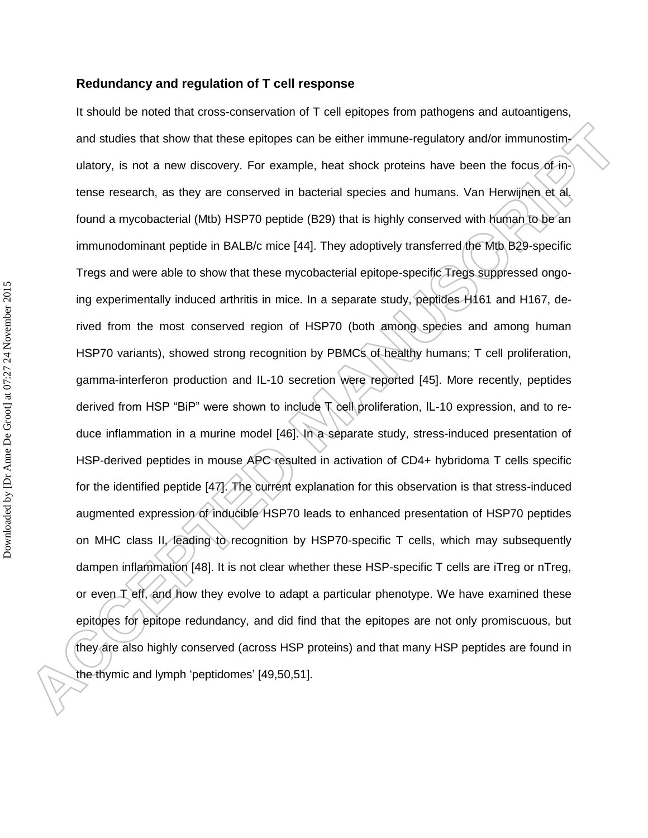#### **Redundancy and regulation of T cell response**

<span id="page-10-1"></span><span id="page-10-0"></span>It should be noted that cross-conservation of T cell epitopes from pathogens and autoantigens, and studies that show that these epitopes can be either immune-regulatory and/or immunostimulatory, is not a new discovery. For example, heat shock proteins have been the focus of intense research, as they are conserved in bacterial species and humans. Van Herwijnen et al. found a mycobacterial (Mtb) HSP70 peptide (B29) that is highly conserved with human to be an immunodominant peptide in BALB/c mice [44]. They adoptively transferred the Mtb B29-specific Tregs and were able to show that these mycobacterial epitope-specific Tregs suppressed ongoing experimentally induced arthritis in mice. In a separate study, peptides H161 and H167, derived from the most conserved region of HSP70 (both among species and among human HSP70 variants), showed strong recognition by PBMCs of healthy humans; T cell proliferation, gamma-interferon production and IL-10 secretion were reported [45]. More recently, peptides derived from HSP "BiP" were shown to include T cell proliferation, IL-10 expression, and to reduce inflammation in a murine model [46]. In a separate study, stress-induced presentation of HSP-derived peptides in mouse APC resulted in activation of CD4+ hybridoma T cells specific for the identified peptide [47]. The current explanation for this observation is that stress-induced augmented expression of inducible HSP70 leads to enhanced presentation of HSP70 peptides on MHC class II, leading to recognition by HSP70-specific T cells, which may subsequently dampen inflammation [48]. It is not clear whether these HSP-specific T cells are iTreg or nTreg, or even T eff, and how they evolve to adapt a particular phenotype. We have examined these epitopes for epitope redundancy, and did find that the epitopes are not only promiscuous, but they are also highly conserved (across HSP proteins) and that many HSP peptides are found in the thymic and lymph 'peptidomes' [49,50,51].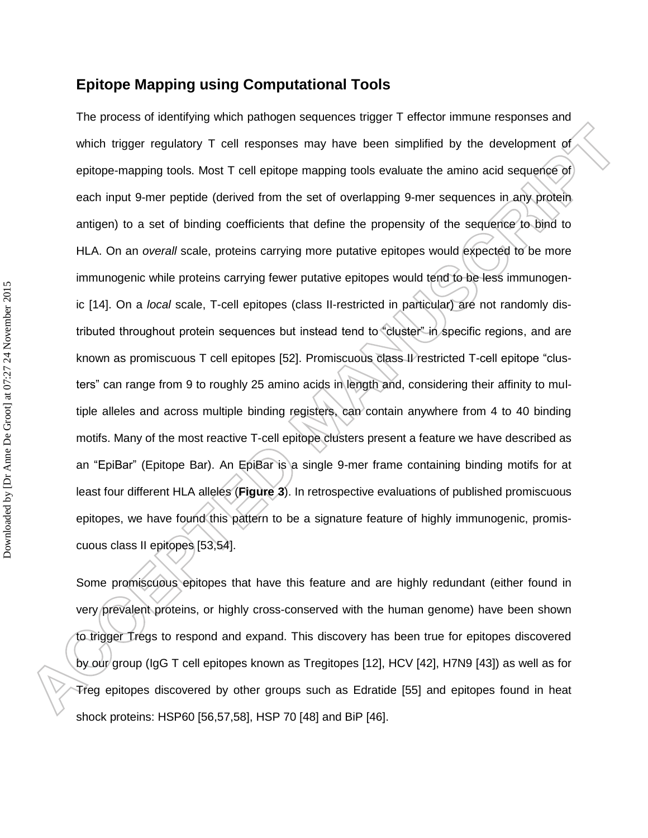### **Epitope Mapping using Computational Tools**

The process of identifying which pathogen sequences trigger T effector immune responses and which trigger regulatory T cell responses may have been simplified by the development of epitope-mapping tools. Most T cell epitope mapping tools evaluate the amino acid sequence of each input 9-mer peptide (derived from the set of overlapping 9-mer sequences in any protein antigen) to a set of binding coefficients that define the propensity of the sequence to bind to HLA. On an *overall* scale, proteins carrying more putative epitopes would expected to be more immunogenic while proteins carrying fewer putative epitopes would tend to be less immunogenic [\[14\]](#page-7-1). On a *local* scale, T-cell epitopes (class II-restricted in particular) are not randomly distributed throughout protein sequences but instead tend to "cluster" in specific regions, and are known as promiscuous T cell epitopes [52]. Promiscuous class II restricted T-cell epitope "clusters" can range from 9 to roughly 25 amino acids in length and, considering their affinity to multiple alleles and across multiple binding registers, can contain anywhere from 4 to 40 binding motifs. Many of the most reactive T-cell epitope clusters present a feature we have described as an "EpiBar" (Epitope Bar). An EpiBar is a single 9-mer frame containing binding motifs for at least four different HLA alleles (**Figure 3**). In retrospective evaluations of published promiscuous epitopes, we have found this pattern to be a signature feature of highly immunogenic, promiscuous class II epitopes [53,54].

<span id="page-11-0"></span>Some promiscuous epitopes that have this feature and are highly redundant (either found in very prevalent proteins, or highly cross-conserved with the human genome) have been shown to trigger Tregs to respond and expand. This discovery has been true for epitopes discovered by our group (IgG T cell epitopes known as Tregitopes [\[12\]](#page-7-2), HCV [\[42\]](#page-9-0), H7N9 [\[43\]](#page-9-1)) as well as for Treg epitopes discovered by other groups such as Edratide [55] and epitopes found in heat shock proteins: HSP60 [56,57,58], HSP 70 [\[48\]](#page-10-0) and BiP [\[46\]](#page-10-1).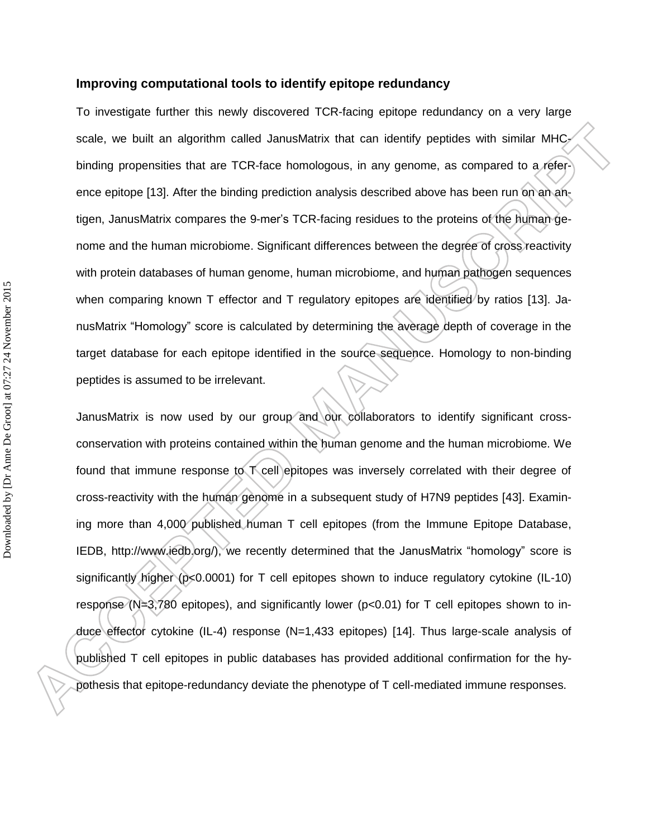#### **Improving computational tools to identify epitope redundancy**

To investigate further this newly discovered TCR-facing epitope redundancy on a very large scale, we built an algorithm called JanusMatrix that can identify peptides with similar MHC<sub>2</sub> binding propensities that are TCR-face homologous, in any genome, as compared to a reference epitope [\[13\]](#page-7-0). After the binding prediction analysis described above has been run on an antigen, JanusMatrix compares the 9-mer's TCR-facing residues to the proteins of the human genome and the human microbiome. Significant differences between the degree of cross reactivity with protein databases of human genome, human microbiome, and human pathogen sequences when comparing known T effector and T regulatory epitopes are identified by ratios [\[13\]](#page-7-0). JanusMatrix "Homology" score is calculated by determining the average depth of coverage in the target database for each epitope identified in the source sequence. Homology to non-binding peptides is assumed to be irrelevant.

JanusMatrix is now used by our group and our collaborators to identify significant crossconservation with proteins contained within the human genome and the human microbiome. We found that immune response to T cell epitopes was inversely correlated with their degree of cross-reactivity with the human genome in a subsequent study of H7N9 peptides [\[43\]](#page-9-1). Examining more than 4,000 published human T cell epitopes (from the Immune Epitope Database, IEDB, http://www.iedb.org/), we recently determined that the JanusMatrix "homology" score is significantly higher (p<0.0001) for T cell epitopes shown to induce regulatory cytokine (IL-10) response (N=3,780 epitopes), and significantly lower (p<0.01) for T cell epitopes shown to induce effector cytokine (IL-4) response (N=1,433 epitopes) [\[14\]](#page-7-3). Thus large-scale analysis of published T cell epitopes in public databases has provided additional confirmation for the hypothesis that epitope-redundancy deviate the phenotype of T cell-mediated immune responses.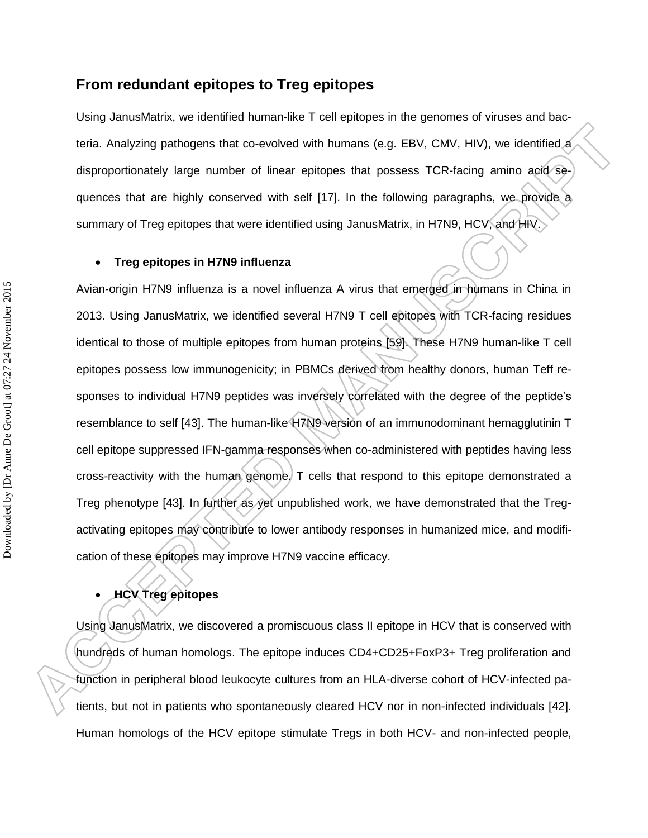### **From redundant epitopes to Treg epitopes**

Using JanusMatrix, we identified human-like T cell epitopes in the genomes of viruses and bacteria. Analyzing pathogens that co-evolved with humans (e.g. EBV, CMV, HIV), we identified a disproportionately large number of linear epitopes that possess TCR-facing amino acid sequences that are highly conserved with self [\[17\]](#page-8-0). In the following paragraphs, we provide a summary of Treg epitopes that were identified using JanusMatrix, in H7N9, HCV, and HIV.

#### **Treg epitopes in H7N9 influenza**

Avian-origin H7N9 influenza is a novel influenza A virus that emerged in humans in China in 2013. Using JanusMatrix, we identified several H7N9 T cell epitopes with TCR-facing residues identical to those of multiple epitopes from human proteins [59]. These H7N9 human-like T cell epitopes possess low immunogenicity; in PBMCs derived from healthy donors, human Teff responses to individual H7N9 peptides was inversely correlated with the degree of the peptide's resemblance to self [\[43\]](#page-9-1). The human-like H7N9 version of an immunodominant hemagglutinin T cell epitope suppressed IFN-gamma responses when co-administered with peptides having less cross-reactivity with the human genome. T cells that respond to this epitope demonstrated a Treg phenotype [\[43\]](#page-9-1). In further as yet unpublished work, we have demonstrated that the Tregactivating epitopes may contribute to lower antibody responses in humanized mice, and modification of these epitopes may improve H7N9 vaccine efficacy.

## **HCV Treg epitopes**

Using JanusMatrix, we discovered a promiscuous class II epitope in HCV that is conserved with hundreds of human homologs. The epitope induces CD4+CD25+FoxP3+ Treg proliferation and function in peripheral blood leukocyte cultures from an HLA-diverse cohort of HCV-infected patients, but not in patients who spontaneously cleared HCV nor in non-infected individuals [\[42\]](#page-9-0). Human homologs of the HCV epitope stimulate Tregs in both HCV- and non-infected people,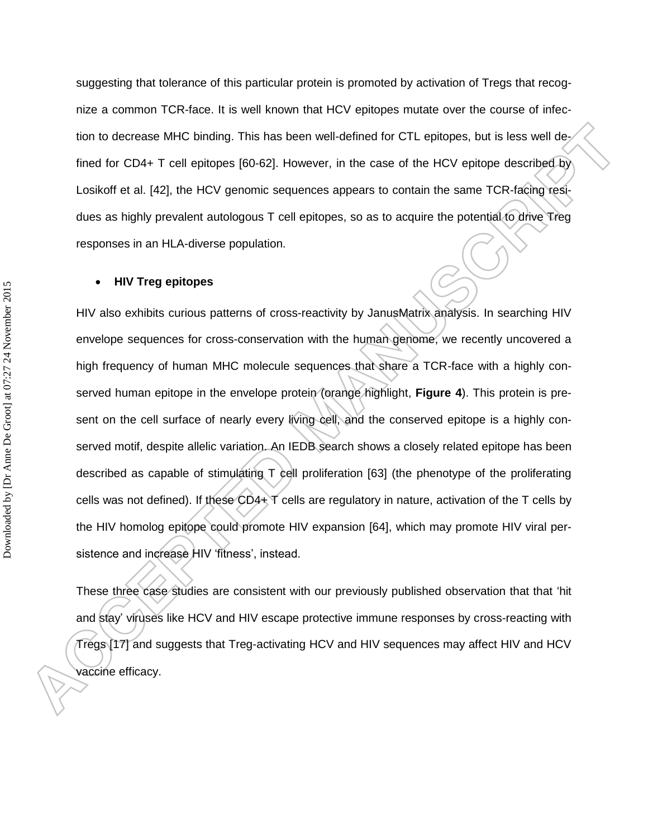suggesting that tolerance of this particular protein is promoted by activation of Tregs that recognize a common TCR-face. It is well known that HCV epitopes mutate over the course of infection to decrease MHC binding. This has been well-defined for CTL epitopes, but is less well defined for CD4+ T cell epitopes [60-62]. However, in the case of the HCV epitope described by Losikoff et al. [\[42\]](#page-9-0), the HCV genomic sequences appears to contain the same TCR-facing residues as highly prevalent autologous T cell epitopes, so as to acquire the potential to drive Treg responses in an HLA-diverse population.

#### **HIV Treg epitopes**

HIV also exhibits curious patterns of cross-reactivity by JanusMatrix analysis. In searching HIV envelope sequences for cross-conservation with the human genome, we recently uncovered a high frequency of human MHC molecule sequences that share a TCR-face with a highly conserved human epitope in the envelope protein (orange highlight, **Figure 4**). This protein is present on the cell surface of nearly every living cell, and the conserved epitope is a highly conserved motif, despite allelic variation. An IEDB search shows a closely related epitope has been described as capable of stimulating T cell proliferation [63] (the phenotype of the proliferating cells was not defined). If these CD4+ T cells are regulatory in nature, activation of the T cells by the HIV homolog epitope could promote HIV expansion [64], which may promote HIV viral persistence and increase HIV 'fitness', instead.

These three case studies are consistent with our previously published observation that that 'hit and stay' viruses like HCV and HIV escape protective immune responses by cross-reacting with Tregs [\[17\]](#page-8-0) and suggests that Treg-activating HCV and HIV sequences may affect HIV and HCV vaccine efficacy.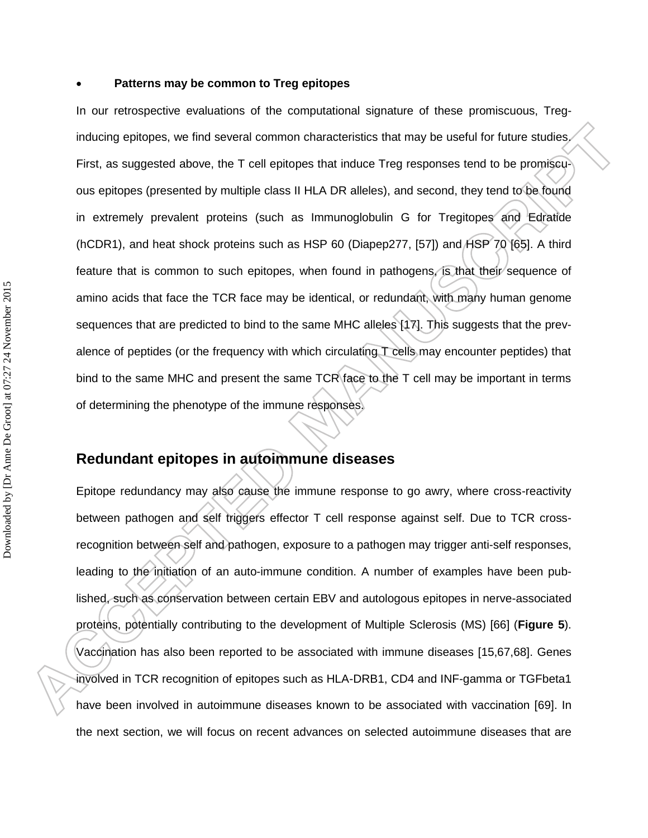#### **Patterns may be common to Treg epitopes**

In our retrospective evaluations of the computational signature of these promiscuous, Treginducing epitopes, we find several common characteristics that may be useful for future studies. First, as suggested above, the T cell epitopes that induce Treg responses tend to be promiscuous epitopes (presented by multiple class II HLA DR alleles), and second, they tend to be found in extremely prevalent proteins (such as Immunoglobulin G for Tregitopes and Edratide (hCDR1), and heat shock proteins such as HSP 60 (Diapep277, [\[57\]](#page-11-0)) and HSP 70 [65]. A third feature that is common to such epitopes, when found in pathogens, is that their sequence of amino acids that face the TCR face may be identical, or redundant, with many human genome sequences that are predicted to bind to the same MHC alleles [\[17\]](#page-8-0). This suggests that the prevalence of peptides (or the frequency with which circulating T cells may encounter peptides) that bind to the same MHC and present the same TCR face to the T cell may be important in terms of determining the phenotype of the immune responses.

### **Redundant epitopes in autoimmune diseases**

Epitope redundancy may also cause the immune response to go awry, where cross-reactivity between pathogen and self triggers effector T cell response against self. Due to TCR crossrecognition between self and pathogen, exposure to a pathogen may trigger anti-self responses, leading to the initiation of an auto-immune condition. A number of examples have been published, such as conservation between certain EBV and autologous epitopes in nerve-associated proteins, potentially contributing to the development of Multiple Sclerosis (MS) [66] (**Figure 5**). Vaccination has also been reported to be associated with immune diseases [\[15,](#page-7-4)67,68]. Genes involved in TCR recognition of epitopes such as HLA-DRB1, CD4 and INF-gamma or TGFbeta1 have been involved in autoimmune diseases known to be associated with vaccination [69]. In the next section, we will focus on recent advances on selected autoimmune diseases that are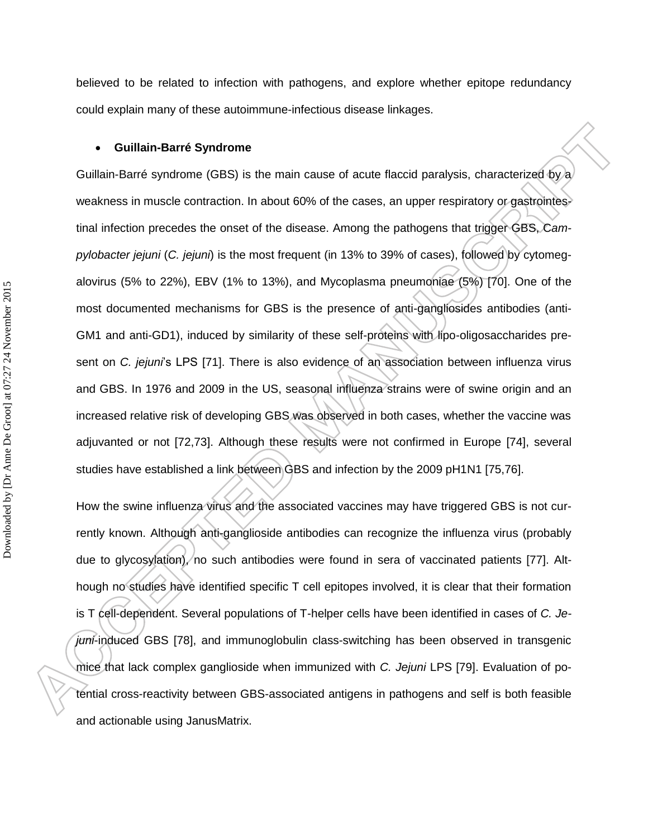believed to be related to infection with pathogens, and explore whether epitope redundancy could explain many of these autoimmune-infectious disease linkages.

#### **Guillain-Barré Syndrome**

Guillain-Barré syndrome (GBS) is the main cause of acute flaccid paralysis, characterized by a weakness in muscle contraction. In about 60% of the cases, an upper respiratory or gastrointestinal infection precedes the onset of the disease. Among the pathogens that trigger GBS, C*ampylobacter jejuni* (*C. jejuni*) is the most frequent (in 13% to 39% of cases), followed by cytomegalovirus (5% to 22%), EBV (1% to 13%), and Mycoplasma pneumoniae (5%) [70]. One of the most documented mechanisms for GBS is the presence of anti-gangliosides antibodies (anti-GM1 and anti-GD1), induced by similarity of these self-proteins with lipo-oligosaccharides present on *C. jejuni*'s LPS [71]. There is also evidence of an association between influenza virus and GBS. In 1976 and 2009 in the US, seasonal influenza strains were of swine origin and an increased relative risk of developing GBS was observed in both cases, whether the vaccine was adjuvanted or not [72,73]. Although these results were not confirmed in Europe [74], several studies have established a link between GBS and infection by the 2009 pH1N1 [75,76].

How the swine influenza virus and the associated vaccines may have triggered GBS is not currently known. Although anti-ganglioside antibodies can recognize the influenza virus (probably due to glycosylation), no such antibodies were found in sera of vaccinated patients [77]. Although no studies have identified specific T cell epitopes involved, it is clear that their formation is T cell-dependent. Several populations of T-helper cells have been identified in cases of *C. Jejuni*-induced GBS [78], and immunoglobulin class-switching has been observed in transgenic mice that lack complex ganglioside when immunized with *C. Jejuni* LPS [79]. Evaluation of potential cross-reactivity between GBS-associated antigens in pathogens and self is both feasible and actionable using JanusMatrix.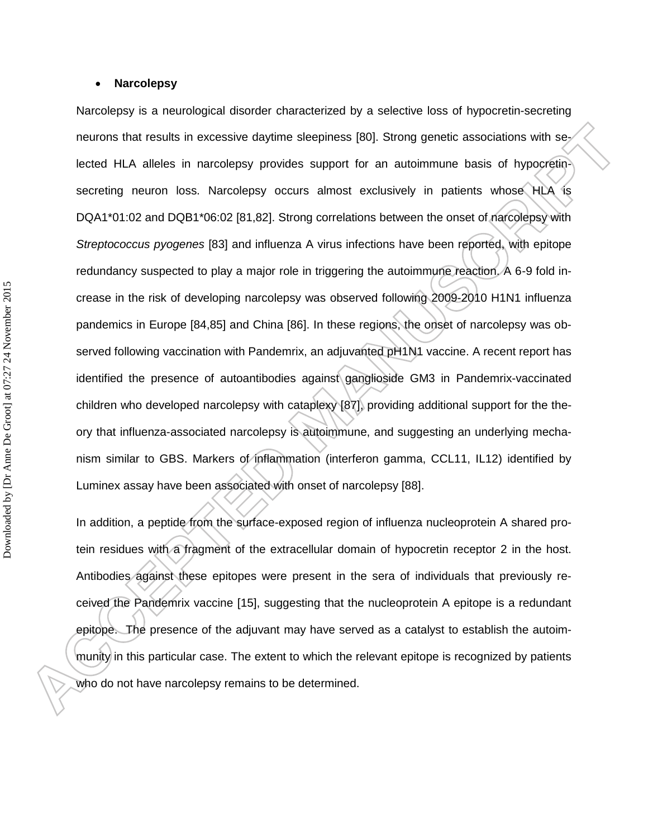#### **Narcolepsy**

Narcolepsy is a neurological disorder characterized by a selective loss of hypocretin-secreting neurons that results in excessive daytime sleepiness [80]. Strong genetic associations with selected HLA alleles in narcolepsy provides support for an autoimmune basis of hypocretinsecreting neuron loss. Narcolepsy occurs almost exclusively in patients whose HLA is DQA1\*01:02 and DQB1\*06:02 [81,82]. Strong correlations between the onset of narcolepsy with *Streptococcus pyogenes* [83] and influenza A virus infections have been reported, with epitope redundancy suspected to play a major role in triggering the autoimmune reaction. A 6-9 fold increase in the risk of developing narcolepsy was observed following 2009-2010 H1N1 influenza pandemics in Europe [84,85] and China [86]. In these regions, the onset of narcolepsy was observed following vaccination with Pandemrix, an adjuvanted pH1N1 vaccine. A recent report has identified the presence of autoantibodies against ganglioside GM3 in Pandemrix-vaccinated children who developed narcolepsy with cataplexy [87], providing additional support for the theory that influenza-associated narcolepsy is autoimmune, and suggesting an underlying mechanism similar to GBS. Markers of inflammation (interferon gamma, CCL11, IL12) identified by Luminex assay have been associated with onset of narcolepsy [88].

In addition, a peptide from the surface-exposed region of influenza nucleoprotein A shared protein residues with a fragment of the extracellular domain of hypocretin receptor 2 in the host. Antibodies against these epitopes were present in the sera of individuals that previously received the Pandemrix vaccine [\[15\]](#page-7-4), suggesting that the nucleoprotein A epitope is a redundant epitope. The presence of the adjuvant may have served as a catalyst to establish the autoimmunity in this particular case. The extent to which the relevant epitope is recognized by patients who do not have narcolepsy remains to be determined.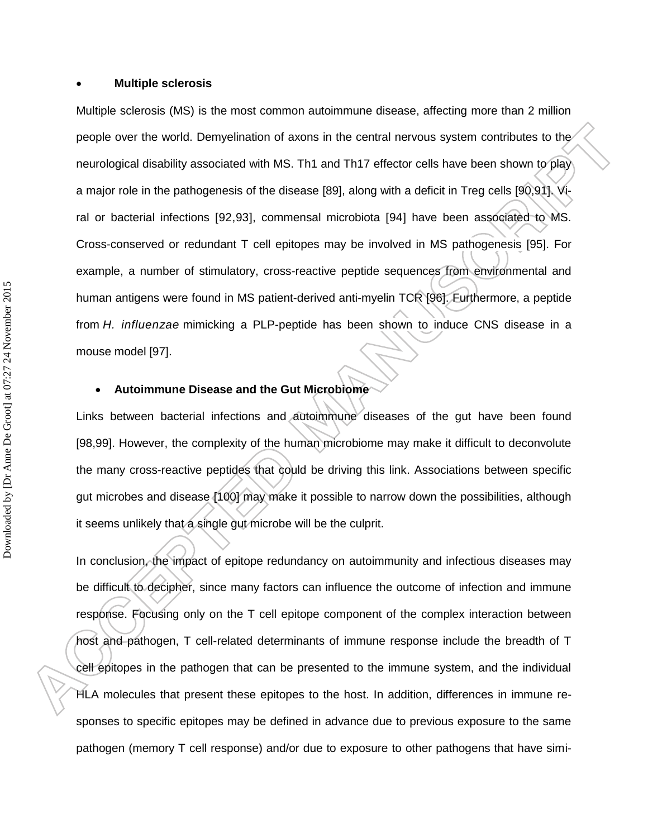#### **Multiple sclerosis**

Multiple sclerosis (MS) is the most common autoimmune disease, affecting more than 2 million people over the world. Demyelination of axons in the central nervous system contributes to the neurological disability associated with MS. Th1 and Th17 effector cells have been shown to play a major role in the pathogenesis of the disease [89], along with a deficit in Treg cells [90,91]. Viral or bacterial infections [92,93], commensal microbiota [94] have been associated to MS. Cross-conserved or redundant T cell epitopes may be involved in MS pathogenesis [95]. For example, a number of stimulatory, cross-reactive peptide sequences from environmental and human antigens were found in MS patient-derived anti-myelin TCR [96]. Furthermore, a peptide from *H. influenzae* mimicking a PLP-peptide has been shown to induce CNS disease in a mouse model [97].

#### **Autoimmune Disease and the Gut Microbiome**

Links between bacterial infections and autoimmune diseases of the gut have been found [98,99]. However, the complexity of the human microbiome may make it difficult to deconvolute the many cross-reactive peptides that could be driving this link. Associations between specific gut microbes and disease [100] may make it possible to narrow down the possibilities, although it seems unlikely that a single gut microbe will be the culprit.

In conclusion, the impact of epitope redundancy on autoimmunity and infectious diseases may be difficult to decipher, since many factors can influence the outcome of infection and immune response. Focusing only on the T cell epitope component of the complex interaction between host and pathogen, T cell-related determinants of immune response include the breadth of T cell epitopes in the pathogen that can be presented to the immune system, and the individual HLA molecules that present these epitopes to the host. In addition, differences in immune responses to specific epitopes may be defined in advance due to previous exposure to the same pathogen (memory T cell response) and/or due to exposure to other pathogens that have simi-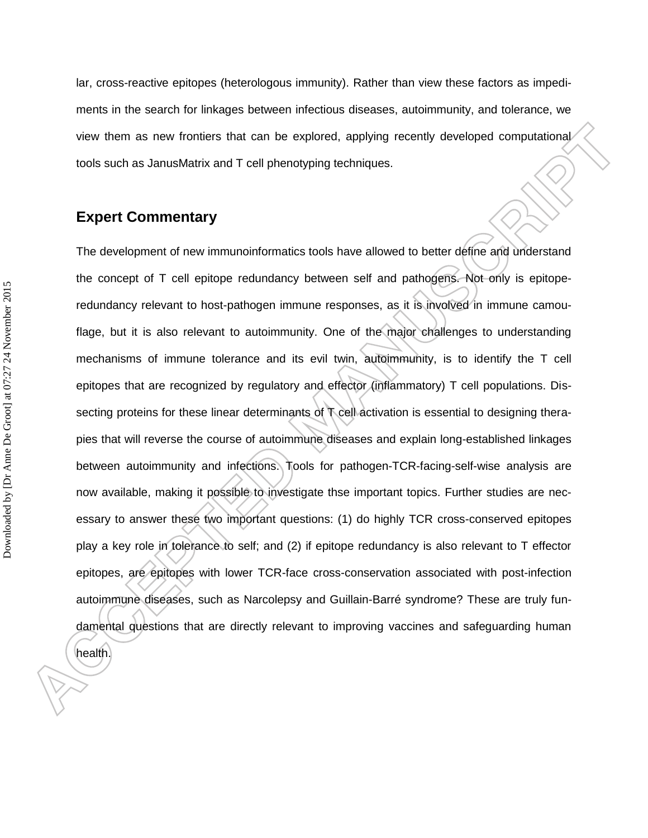lar, cross-reactive epitopes (heterologous immunity). Rather than view these factors as impediments in the search for linkages between infectious diseases, autoimmunity, and tolerance, we view them as new frontiers that can be explored, applying recently developed computational tools such as JanusMatrix and T cell phenotyping techniques.

### **Expert Commentary**

The development of new immunoinformatics tools have allowed to better define and understand the concept of T cell epitope redundancy between self and pathogens. Not only is epitoperedundancy relevant to host-pathogen immune responses, as it is involved in immune camouflage, but it is also relevant to autoimmunity. One of the major challenges to understanding mechanisms of immune tolerance and its evil twin, autoimmunity, is to identify the T cell epitopes that are recognized by regulatory and effector (inflammatory) T cell populations. Dissecting proteins for these linear determinants of T cell activation is essential to designing therapies that will reverse the course of autoimmune diseases and explain long-established linkages between autoimmunity and infections. Tools for pathogen-TCR-facing-self-wise analysis are now available, making it possible to investigate thse important topics. Further studies are necessary to answer these two important questions: (1) do highly TCR cross-conserved epitopes play a key role in tolerance to self; and (2) if epitope redundancy is also relevant to T effector epitopes, are epitopes with lower TCR-face cross-conservation associated with post-infection autoimmune diseases, such as Narcolepsy and Guillain-Barré syndrome? These are truly fundamental questions that are directly relevant to improving vaccines and safeguarding human

health.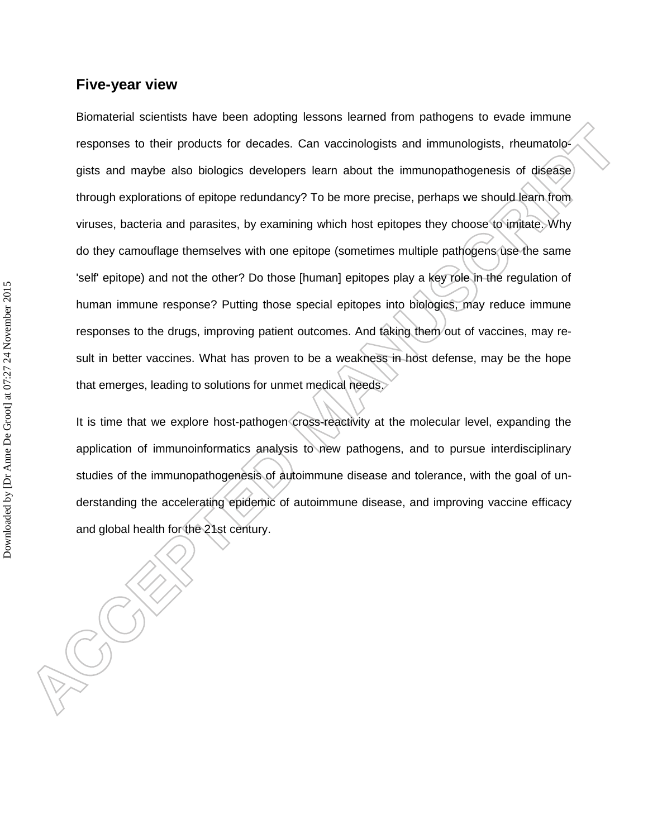### **Five-year view**

Biomaterial scientists have been adopting lessons learned from pathogens to evade immune responses to their products for decades. Can vaccinologists and immunologists, rheumatologists and maybe also biologics developers learn about the immunopathogenesis of disease through explorations of epitope redundancy? To be more precise, perhaps we should learn from viruses, bacteria and parasites, by examining which host epitopes they choose to imitate. Why do they camouflage themselves with one epitope (sometimes multiple pathogens use the same 'self' epitope) and not the other? Do those [human] epitopes play a key role in the regulation of human immune response? Putting those special epitopes into biologics, may reduce immune responses to the drugs, improving patient outcomes. And taking them out of vaccines, may result in better vaccines. What has proven to be a weakness in host defense, may be the hope that emerges, leading to solutions for unmet medical needs.

It is time that we explore host-pathogen cross-reactivity at the molecular level, expanding the application of immunoinformatics analysis to new pathogens, and to pursue interdisciplinary studies of the immunopathogenesis of autoimmune disease and tolerance, with the goal of understanding the accelerating epidemic of autoimmune disease, and improving vaccine efficacy and global health for the 21st century.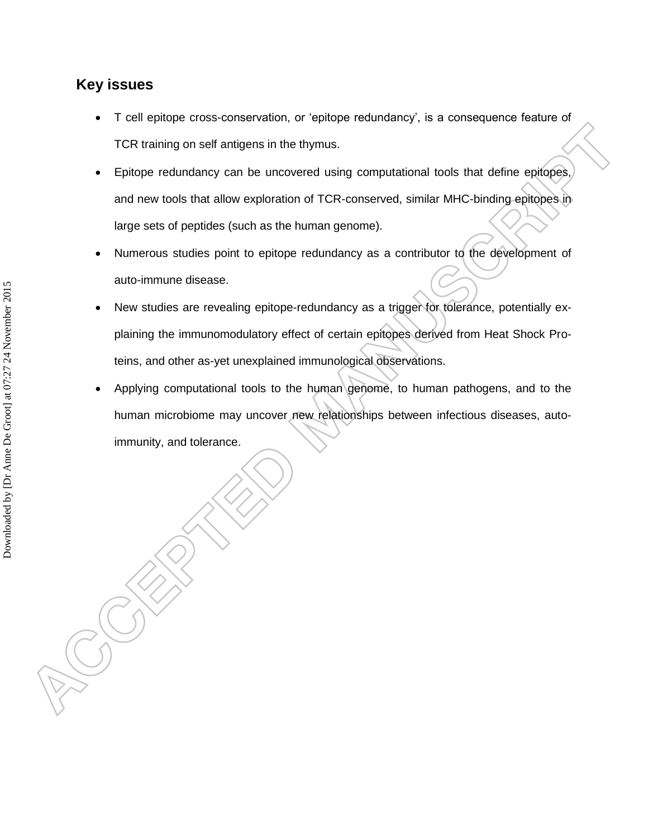### **Key issues**

- T cell epitope cross-conservation, or 'epitope redundancy', is a consequence feature of TCR training on self antigens in the thymus.
- Epitope redundancy can be uncovered using computational tools that define epitopes, and new tools that allow exploration of TCR-conserved, similar MHC-binding epitopes in large sets of peptides (such as the human genome).
- Numerous studies point to epitope redundancy as a contributor to the development of auto-immune disease.
- New studies are revealing epitope-redundancy as a trigger for tolerance, potentially explaining the immunomodulatory effect of certain epitopes derived from Heat Shock Proteins, and other as-yet unexplained immunological observations.
- Applying computational tools to the human genome, to human pathogens, and to the human microbiome may uncover new relationships between infectious diseases, autoimmunity, and tolerance.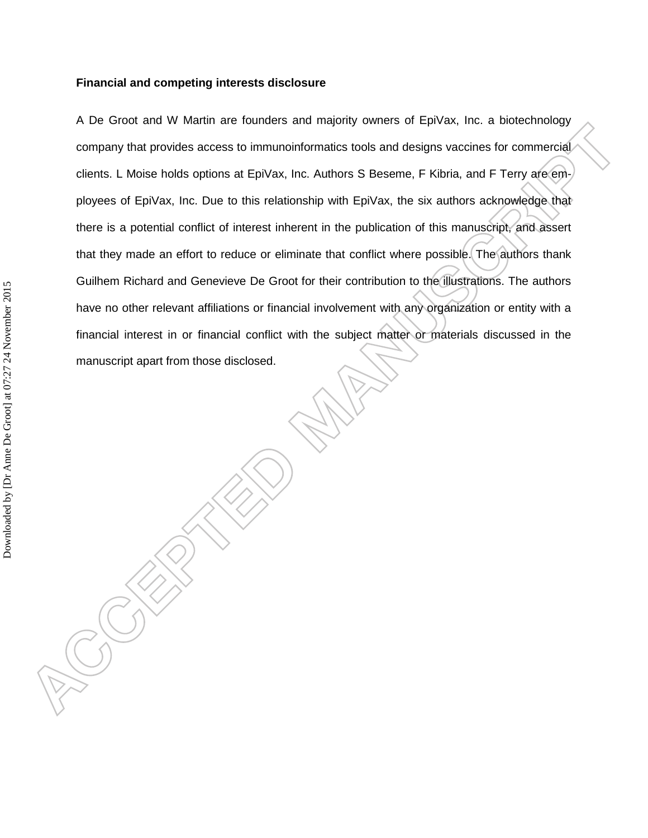#### **Financial and competing interests disclosure**

A De Groot and W Martin are founders and majority owners of EpiVax, Inc. a biotechnology company that provides access to immunoinformatics tools and designs vaccines for commercial clients. L Moise holds options at EpiVax, Inc. Authors S Beseme, F Kibria, and F Terry are employees of EpiVax, Inc. Due to this relationship with EpiVax, the six authors acknowledge that there is a potential conflict of interest inherent in the publication of this manuscript, and assert that they made an effort to reduce or eliminate that conflict where possible. The authors thank Guilhem Richard and Genevieve De Groot for their contribution to the illustrations. The authors have no other relevant affiliations or financial involvement with any organization or entity with a financial interest in or financial conflict with the subject matter or materials discussed in the manuscript apart from those disclosed.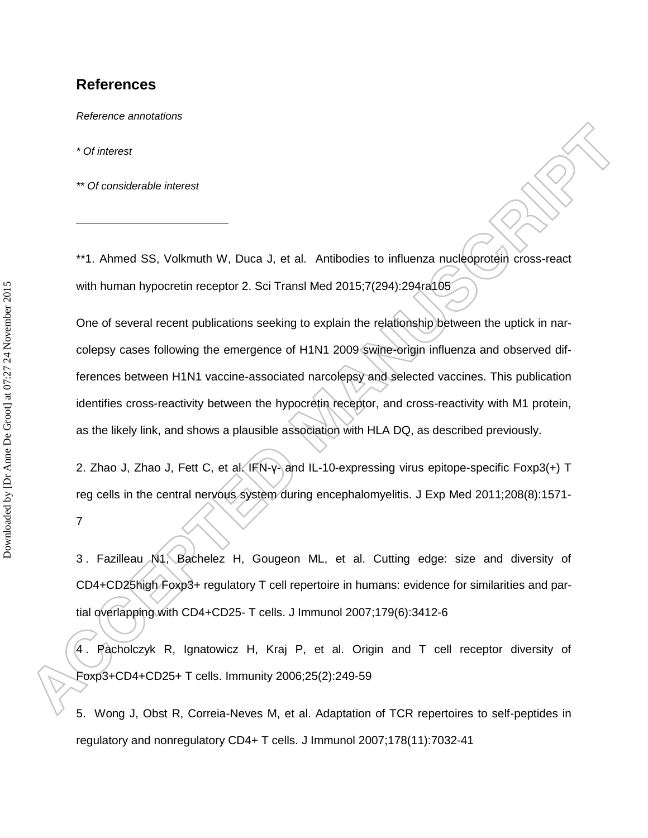#### **References**

*Reference annotations*

*\* Of interest*

*\*\* Of considerable interest*

\*\*1. Ahmed SS, Volkmuth W, Duca J, et al. Antibodies to influenza nucleoprotein cross-react with human hypocretin receptor 2. Sci Transl Med 2015;7(294):294ra105

One of several recent publications seeking to explain the relationship between the uptick in narcolepsy cases following the emergence of H1N1 2009 swine-origin influenza and observed differences between H1N1 vaccine-associated narcolepsy and selected vaccines. This publication identifies cross-reactivity between the hypocretin receptor, and cross-reactivity with M1 protein, as the likely link, and shows a plausible association with HLA DQ, as described previously.

2. Zhao J, Zhao J, Fett C, et al. IFN-y- and IL-10-expressing virus epitope-specific Foxp3(+) T reg cells in the central nervous system during encephalomyelitis. J Exp Med 2011;208(8):1571-

7

3 . Fazilleau N1, Bachelez H, Gougeon ML, et al. Cutting edge: size and diversity of CD4+CD25high Foxp3+ regulatory T cell repertoire in humans: evidence for similarities and partial overlapping with CD4+CD25- T cells. J Immunol 2007;179(6):3412-6

4 . Pacholczyk R, Ignatowicz H, Kraj P, et al. Origin and T cell receptor diversity of Foxp3+CD4+CD25+ T cells. Immunity 2006;25(2):249-59

5. Wong J, Obst R, Correia-Neves M, et al. Adaptation of TCR repertoires to self-peptides in regulatory and nonregulatory CD4+ T cells. J Immunol 2007;178(11):7032-41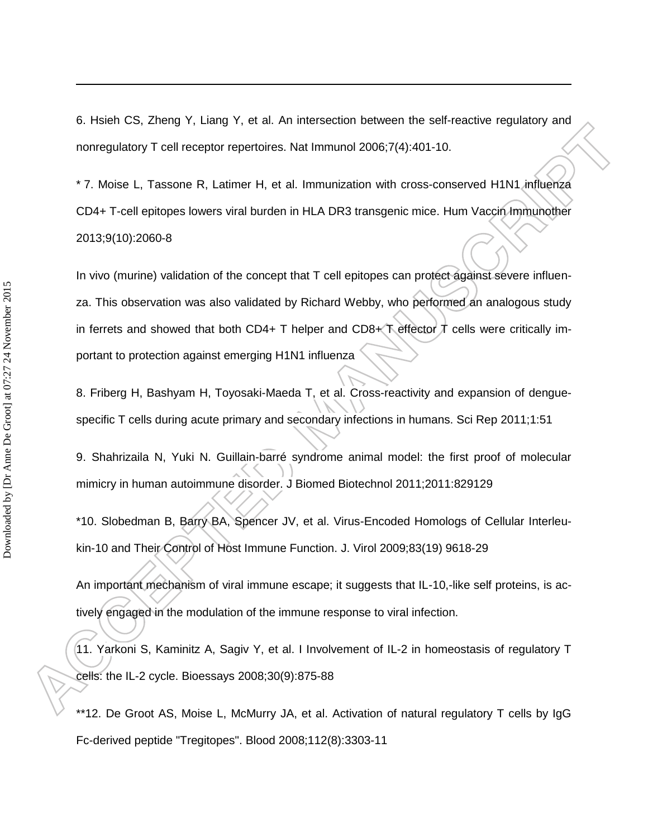6. Hsieh CS, Zheng Y, Liang Y, et al. An intersection between the self-reactive regulatory and nonregulatory T cell receptor repertoires. Nat Immunol 2006;7(4):401-10.

\* 7. Moise L, Tassone R, Latimer H, et al. Immunization with cross-conserved H1N1 influenza CD4+ T-cell epitopes lowers viral burden in HLA DR3 transgenic mice. Hum Vaccin Immunother 2013;9(10):2060-8

In vivo (murine) validation of the concept that T cell epitopes can protect against severe influenza. This observation was also validated by Richard Webby, who performed an analogous study in ferrets and showed that both CD4+ T helper and CD8+ T effector  $\vec{\lambda}$  cells were critically important to protection against emerging H1N1 influenza

8. Friberg H, Bashyam H, Toyosaki-Maeda T, et al. Cross-reactivity and expansion of denguespecific T cells during acute primary and secondary infections in humans. Sci Rep 2011;1:51

9. Shahrizaila N, Yuki N. Guillain-barré syndrome animal model: the first proof of molecular mimicry in human autoimmune disorder. J Biomed Biotechnol 2011;2011:829129

\*10. Slobedman B, Barry BA, Spencer JV, et al. Virus-Encoded Homologs of Cellular Interleukin-10 and Their Control of Host Immune Function. J. Virol 2009;83(19) 9618-29

An important mechanism of viral immune escape; it suggests that IL-10,-like self proteins, is actively engaged in the modulation of the immune response to viral infection.

11. Yarkoni S, Kaminitz A, Sagiv Y, et al. I Involvement of IL-2 in homeostasis of regulatory T cells: the IL-2 cycle. Bioessays 2008;30(9):875-88

\*\*12. De Groot AS, Moise L, McMurry JA, et al. Activation of natural regulatory T cells by IgG Fc-derived peptide "Tregitopes". Blood 2008;112(8):3303-11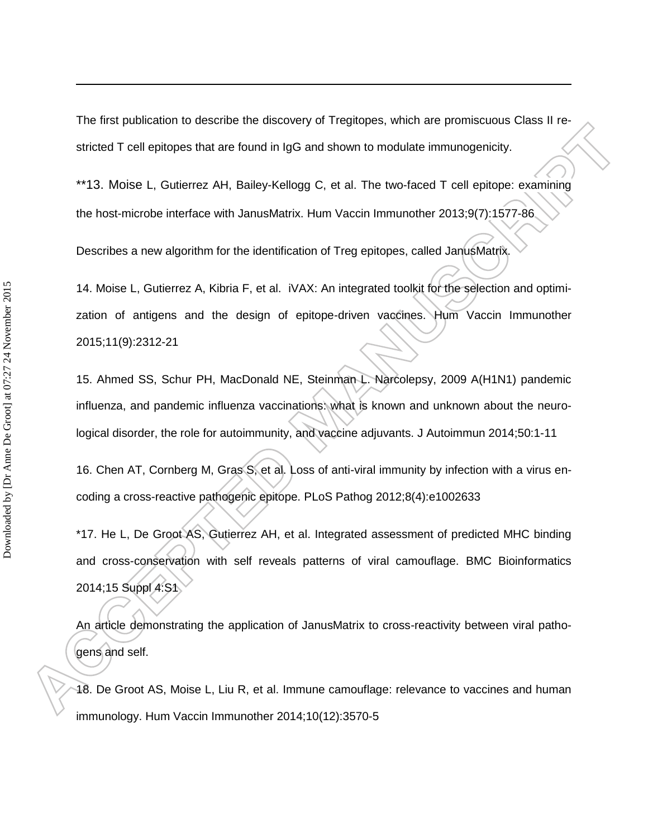The first publication to describe the discovery of Tregitopes, which are promiscuous Class II restricted T cell epitopes that are found in IgG and shown to modulate immunogenicity.

\*\*13. Moise L, Gutierrez AH, Bailey-Kellogg C, et al. The two-faced T cell epitope: examining the host-microbe interface with JanusMatrix. Hum Vaccin Immunother 2013;9(7):1577-86

Describes a new algorithm for the identification of Treg epitopes, called JanusMatrix.

14. Moise L, Gutierrez A, Kibria F, et al. iVAX: An integrated toolkit for the selection and optimization of antigens and the design of epitope-driven vaccines. Hum Vaccin Immunother 2015;11(9):2312-21

15. Ahmed SS, Schur PH, MacDonald NE, Steinman L. Narcolepsy, 2009 A(H1N1) pandemic influenza, and pandemic influenza vaccinations: what is known and unknown about the neurological disorder, the role for autoimmunity, and vaccine adjuvants. J Autoimmun 2014;50:1-11

16. Chen AT, Cornberg M, Gras S, et al. Loss of anti-viral immunity by infection with a virus encoding a cross-reactive pathogenic epitope. PLoS Pathog 2012;8(4):e1002633

\*17. He L, De Groot AS, Gutierrez AH, et al. Integrated assessment of predicted MHC binding and cross-conservation with self reveals patterns of viral camouflage. BMC Bioinformatics 2014;15 Suppl 4:S1

An article demonstrating the application of JanusMatrix to cross-reactivity between viral pathogens and self.

18. De Groot AS, Moise L, Liu R, et al. Immune camouflage: relevance to vaccines and human immunology. Hum Vaccin Immunother 2014;10(12):3570-5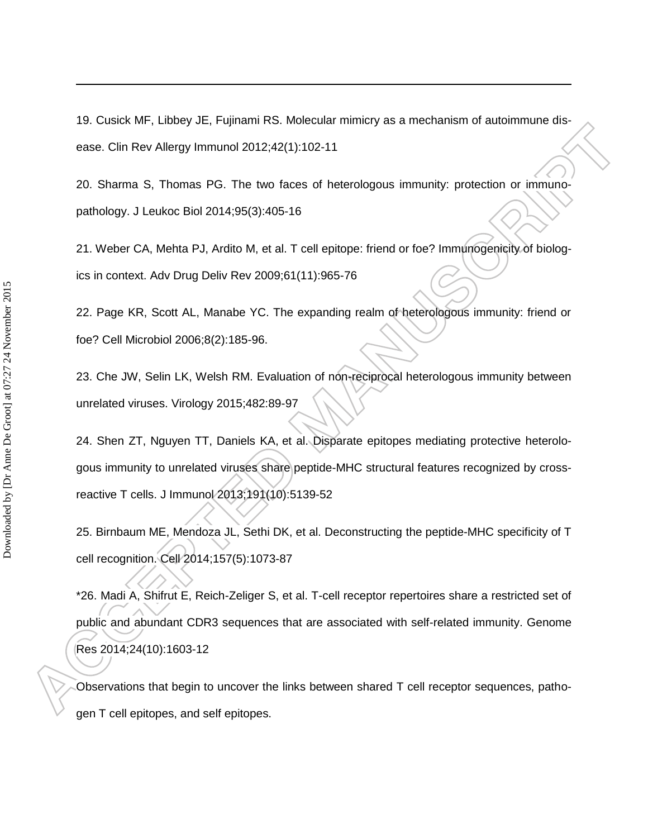19. Cusick MF, Libbey JE, Fujinami RS. Molecular mimicry as a mechanism of autoimmune disease. Clin Rev Allergy Immunol 2012;42(1):102-11

20. Sharma S, Thomas PG. The two faces of heterologous immunity: protection or immunopathology. J Leukoc Biol 2014;95(3):405-16

21. Weber CA, Mehta PJ, Ardito M, et al. T cell epitope: friend or foe? Immunogenicity of biologics in context. Adv Drug Deliv Rev 2009;61(11):965-76

22. Page KR, Scott AL, Manabe YC. The expanding realm of heterologous immunity: friend or foe? Cell Microbiol 2006;8(2):185-96.

23. Che JW, Selin LK, Welsh RM. Evaluation of non-reciprocal heterologous immunity between unrelated viruses. Virology 2015;482:89-97

24. Shen ZT, Nguyen TT, Daniels KA, et al. Disparate epitopes mediating protective heterologous immunity to unrelated viruses share peptide-MHC structural features recognized by crossreactive T cells. J Immunol 2013;191(10):5139-52

25. Birnbaum ME, Mendoza JL, Sethi DK, et al. Deconstructing the peptide-MHC specificity of T cell recognition. Cell 2014;157(5):1073-87

\*26. Madi A, Shifrut E, Reich-Zeliger S, et al. T-cell receptor repertoires share a restricted set of public and abundant CDR3 sequences that are associated with self-related immunity. Genome Res 2014;24(10):1603-12

Observations that begin to uncover the links between shared T cell receptor sequences, pathogen T cell epitopes, and self epitopes.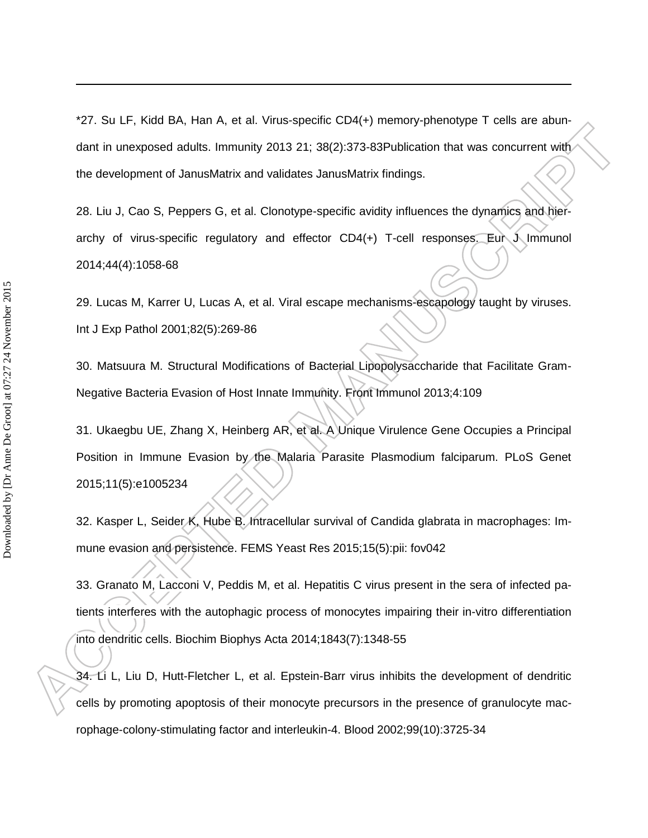\*27. Su LF, Kidd BA, Han A, et al. Virus-specific CD4(+) memory-phenotype T cells are abundant in unexposed adults. Immunity 2013 21; 38(2):373-83Publication that was concurrent with the development of JanusMatrix and validates JanusMatrix findings.

28. Liu J, Cao S, Peppers G, et al. Clonotype-specific avidity influences the dynamics and hierarchy of virus-specific regulatory and effector CD4(+) T-cell responses. Eur J Immunol 2014;44(4):1058-68

29. Lucas M, Karrer U, Lucas A, et al. Viral escape mechanisms-escapology taught by viruses. Int J Exp Pathol 2001;82(5):269-86

30. Matsuura M. Structural Modifications of Bacterial Lipopolysaccharide that Facilitate Gram-Negative Bacteria Evasion of Host Innate Immunity. Front Immunol 2013;4:109

31. Ukaegbu UE, Zhang X, Heinberg AR, et al. A Unique Virulence Gene Occupies a Principal Position in Immune Evasion by the Malaria Parasite Plasmodium falciparum. PLoS Genet 2015;11(5):e1005234

32. Kasper L, Seider K, Hube B. Intracellular survival of Candida glabrata in macrophages: Immune evasion and persistence. FEMS Yeast Res 2015;15(5):pii: fov042

33. Granato M, Lacconi V, Peddis M, et al. Hepatitis C virus present in the sera of infected patients interferes with the autophagic process of monocytes impairing their in-vitro differentiation into dendritic cells. Biochim Biophys Acta 2014;1843(7):1348-55

34. Li L, Liu D, Hutt-Fletcher L, et al. Epstein-Barr virus inhibits the development of dendritic cells by promoting apoptosis of their monocyte precursors in the presence of granulocyte macrophage-colony-stimulating factor and interleukin-4. Blood 2002;99(10):3725-34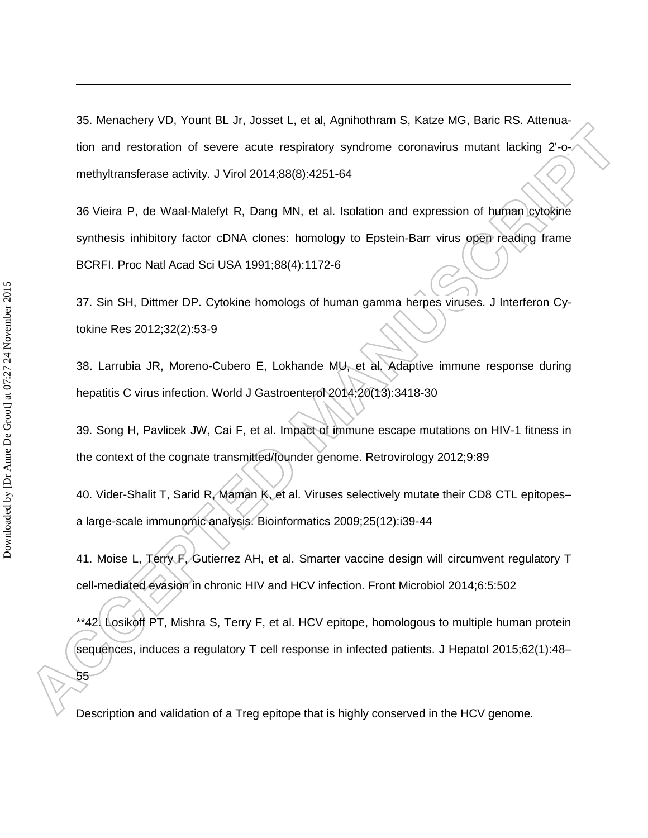35. Menachery VD, Yount BL Jr, Josset L, et al, Agnihothram S, Katze MG, Baric RS. Attenuation and restoration of severe acute respiratory syndrome coronavirus mutant lacking 2'-omethyltransferase activity. J Virol 2014;88(8):4251-64

36 Vieira P, de Waal-Malefyt R, Dang MN, et al. Isolation and expression of human cytokine synthesis inhibitory factor cDNA clones: homology to Epstein-Barr virus open reading frame BCRFI. Proc Natl Acad Sci USA 1991;88(4):1172-6

37. Sin SH, Dittmer DP. Cytokine homologs of human gamma herpes viruses. J Interferon Cytokine Res 2012;32(2):53-9

38. Larrubia JR, Moreno-Cubero E, Lokhande MU, et al. Adaptive immune response during hepatitis C virus infection. World J Gastroenterol 2014;20(13):3418-30

39. Song H, Pavlicek JW, Cai F, et al. Impact of immune escape mutations on HIV-1 fitness in the context of the cognate transmitted/founder genome. Retrovirology 2012;9:89

40. Vider-Shalit T, Sarid R, Maman K, et al. Viruses selectively mutate their CD8 CTL epitopes– a large-scale immunomic analysis. Bioinformatics 2009;25(12):i39-44

41. Moise L, Terry F, Gutierrez AH, et al. Smarter vaccine design will circumvent regulatory T cell-mediated evasion in chronic HIV and HCV infection. Front Microbiol 2014;6:5:502

\*\*42. Losikoff PT, Mishra S, Terry F, et al. HCV epitope, homologous to multiple human protein sequences, induces a regulatory T cell response in infected patients. J Hepatol 2015;62(1):48–

Description and validation of a Treg epitope that is highly conserved in the HCV genome.

 $\overline{a}$ 

55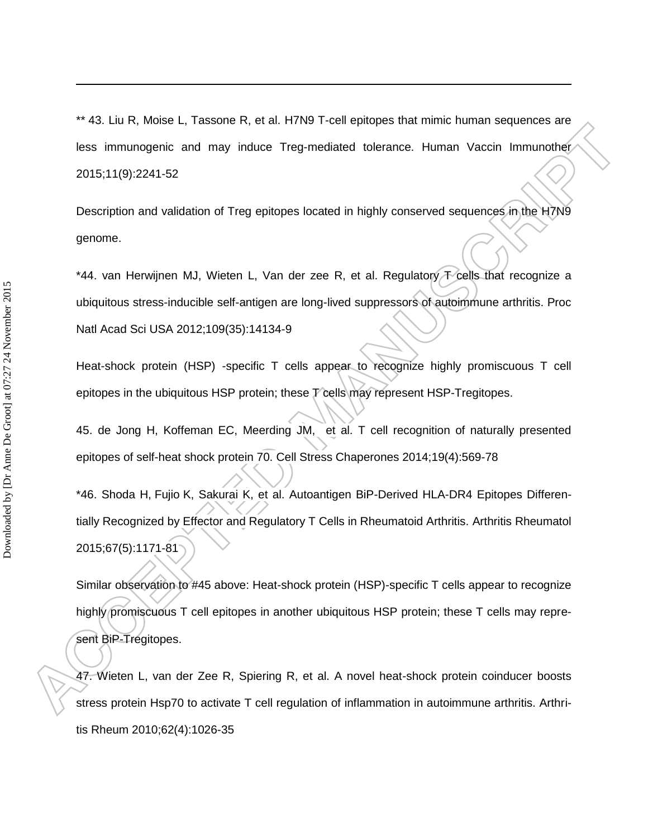\*\* 43. Liu R, Moise L, Tassone R, et al. H7N9 T-cell epitopes that mimic human sequences are less immunogenic and may induce Treg-mediated tolerance. Human Vaccin Immunother 2015;11(9):2241-52

Description and validation of Treg epitopes located in highly conserved sequences in the H7N9 genome.

\*44. van Herwijnen MJ, Wieten L, Van der zee R, et al. Regulatory  $\pm$  cells that recognize a ubiquitous stress-inducible self-antigen are long-lived suppressors of autoimmune arthritis. Proc Natl Acad Sci USA 2012;109(35):14134-9

Heat-shock protein (HSP) -specific T cells appear to recognize highly promiscuous T cell epitopes in the ubiquitous HSP protein; these T cells may represent HSP-Tregitopes.

45. de Jong H, Koffeman EC, Meerding JM, et al. T cell recognition of naturally presented epitopes of self-heat shock protein 70. Cell Stress Chaperones 2014;19(4):569-78

\*46. Shoda H, Fujio K, Sakurai K, et al. Autoantigen BiP-Derived HLA-DR4 Epitopes Differentially Recognized by Effector and Regulatory T Cells in Rheumatoid Arthritis. Arthritis Rheumatol 2015;67(5):1171-81

Similar observation to #45 above: Heat-shock protein (HSP)-specific T cells appear to recognize highly promiscuous T cell epitopes in another ubiquitous HSP protein; these T cells may represent BiP-Tregitopes.

47. Wieten L, van der Zee R, Spiering R, et al. A novel heat-shock protein coinducer boosts stress protein Hsp70 to activate T cell regulation of inflammation in autoimmune arthritis. Arthritis Rheum 2010;62(4):1026-35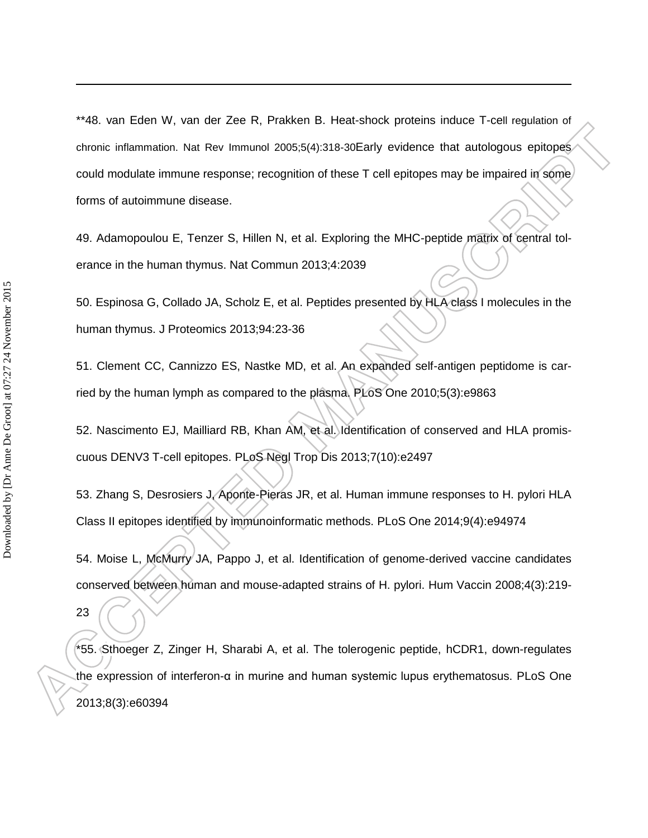\*\*48. van Eden W, van der Zee R, Prakken B. Heat-shock proteins induce T-cell regulation of chronic inflammation. Nat Rev Immunol 2005;5(4):318-30Early evidence that autologous epitopes could modulate immune response; recognition of these T cell epitopes may be impaired in some forms of autoimmune disease.

49. Adamopoulou E, Tenzer S, Hillen N, et al. Exploring the MHC-peptide matrix of central tolerance in the human thymus. Nat Commun 2013;4:2039

50. Espinosa G, Collado JA, Scholz E, et al. Peptides presented by HLA class I molecules in the human thymus. J Proteomics 2013;94:23-36

51. Clement CC, Cannizzo ES, Nastke MD, et al. An expanded self-antigen peptidome is carried by the human lymph as compared to the plasma. PLoS One 2010;5(3):e9863

52. Nascimento EJ, Mailliard RB, Khan AM, et al. Identification of conserved and HLA promiscuous DENV3 T-cell epitopes. PLoS Negl Trop Dis 2013;7(10):e2497

53. Zhang S, Desrosiers J, Aponte-Pieras JR, et al. Human immune responses to H. pylori HLA Class II epitopes identified by immunoinformatic methods. PLoS One 2014;9(4):e94974

54. Moise L, McMurry JA, Pappo J, et al. Identification of genome-derived vaccine candidates conserved between human and mouse-adapted strains of H. pylori. Hum Vaccin 2008;4(3):219-

23

 $\overline{a}$ 

\*55. Sthoeger Z, Zinger H, Sharabi A, et al. The tolerogenic peptide, hCDR1, down-regulates the expression of interferon-α in murine and human systemic lupus erythematosus. PLoS One 2013;8(3):e60394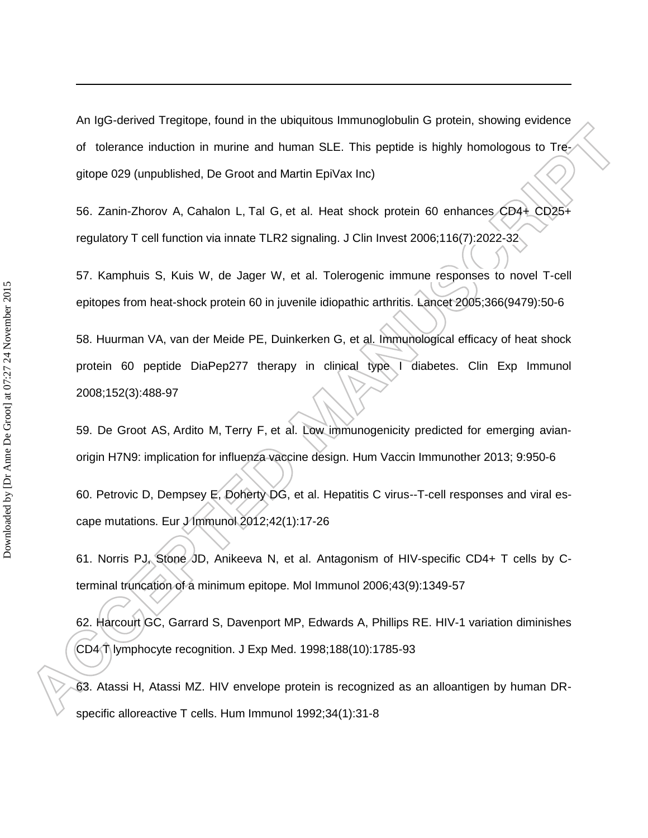An IgG-derived Tregitope, found in the ubiquitous Immunoglobulin G protein, showing evidence of tolerance induction in murine and human SLE. This peptide is highly homologous to Tregitope 029 (unpublished, De Groot and Martin EpiVax Inc)

56. Zanin-Zhorov A, Cahalon L, Tal G, et al. Heat shock protein 60 enhances CD4+ CD25+ regulatory T cell function via innate TLR2 signaling. J Clin Invest 2006;116(7):2022-32

57. Kamphuis S, Kuis W, de Jager W, et al. Tolerogenic immune responses to novel T-cell epitopes from heat-shock protein 60 in juvenile idiopathic arthritis. Lancet 2005;366(9479):50-6

58. Huurman VA, van der Meide PE, Duinkerken G, et al. Immunological efficacy of heat shock protein 60 peptide DiaPep277 therapy in clinical type I diabetes. Clin Exp Immunol 2008;152(3):488-97

59. De Groot AS, Ardito M, Terry F, et al. Low immunogenicity predicted for emerging avianorigin H7N9: implication for influenza vaccine design. Hum Vaccin Immunother 2013; 9:950-6

60. Petrovic D, Dempsey E, Doherty DG, et al. Hepatitis C virus--T-cell responses and viral escape mutations. Eur *J* Immunol 2012;42(1):17-26

61. Norris PJ, Stone JD, Anikeeva N, et al. Antagonism of HIV-specific CD4+ T cells by Cterminal truncation of a minimum epitope. Mol Immunol 2006;43(9):1349-57

62. Harcourt GC, Garrard S, Davenport MP, Edwards A, Phillips RE. HIV-1 variation diminishes CD4 T lymphocyte recognition. J Exp Med. 1998;188(10):1785-93

63. Atassi H, Atassi MZ. HIV envelope protein is recognized as an alloantigen by human DRspecific alloreactive T cells. Hum Immunol 1992;34(1):31-8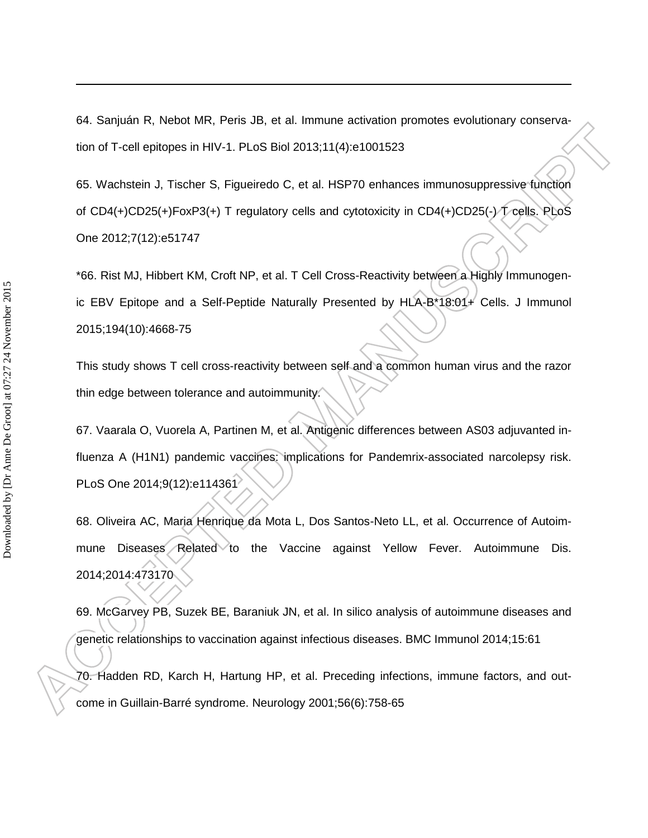64. Sanjuán R, Nebot MR, Peris JB, et al. Immune activation promotes evolutionary conservation of T-cell epitopes in HIV-1. PLoS Biol 2013;11(4):e1001523

65. Wachstein J, Tischer S, Figueiredo C, et al. HSP70 enhances immunosuppressive function of CD4(+)CD25(+)FoxP3(+) T regulatory cells and cytotoxicity in CD4(+)CD25(-) T cells. PLoS One 2012;7(12):e51747

\*66. Rist MJ, Hibbert KM, Croft NP, et al. T Cell Cross-Reactivity between a Highly Immunogenic EBV Epitope and a Self-Peptide Naturally Presented by HLA-B\*18:01+ Cells. J Immunol 2015;194(10):4668-75

This study shows T cell cross-reactivity between self and a common human virus and the razor thin edge between tolerance and autoimmunity.

67. Vaarala O, Vuorela A, Partinen M, et al. Antigenic differences between AS03 adjuvanted influenza A (H1N1) pandemic vaccines: implications for Pandemrix-associated narcolepsy risk. PLoS One 2014;9(12):e114361

68. Oliveira AC, Maria Henrique da Mota L, Dos Santos-Neto LL, et al. Occurrence of Autoimmune Diseases Related to the Vaccine against Yellow Fever. Autoimmune Dis. 2014;2014:473170

69. McGarvey PB, Suzek BE, Baraniuk JN, et al. In silico analysis of autoimmune diseases and genetic relationships to vaccination against infectious diseases. BMC Immunol 2014;15:61 70. Hadden RD, Karch H, Hartung HP, et al. Preceding infections, immune factors, and out-

come in Guillain-Barré syndrome. Neurology 2001;56(6):758-65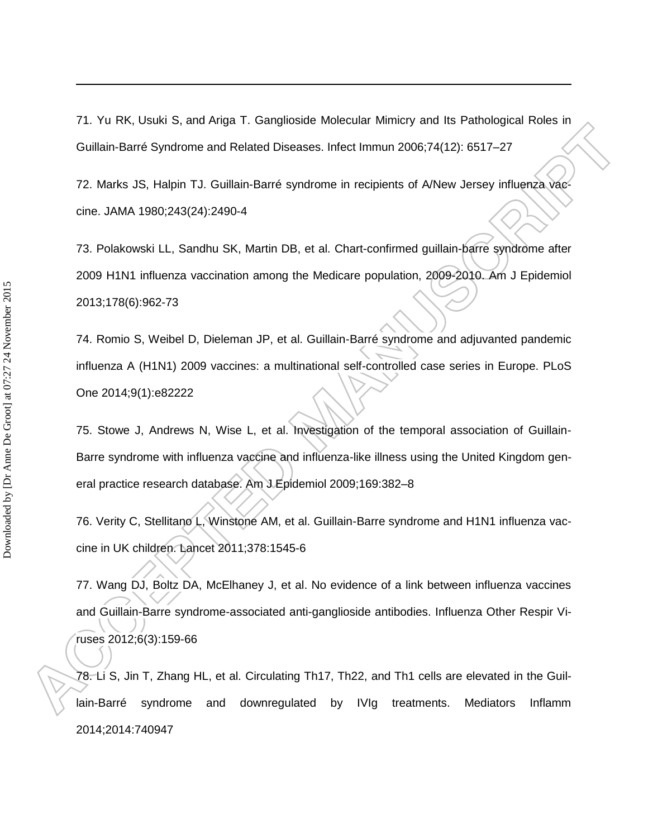71. Yu RK, Usuki S, and Ariga T. Ganglioside Molecular Mimicry and Its Pathological Roles in Guillain-Barré Syndrome and Related Diseases. Infect Immun 2006;74(12): 6517–27

72. Marks JS, Halpin TJ. Guillain-Barré syndrome in recipients of A/New Jersey influenza vaccine. JAMA 1980;243(24):2490-4

73. Polakowski LL, Sandhu SK, Martin DB, et al. Chart-confirmed guillain-barre syndrome after 2009 H1N1 influenza vaccination among the Medicare population, 2009-2010. Am J Epidemiol 2013;178(6):962-73

74. Romio S, Weibel D, Dieleman JP, et al. Guillain-Barré syndrome and adjuvanted pandemic influenza A (H1N1) 2009 vaccines: a multinational self-controlled case series in Europe. PLoS One 2014;9(1):e82222

75. Stowe J, Andrews N, Wise L, et al. Investigation of the temporal association of Guillain-Barre syndrome with influenza vaccine and influenza-like illness using the United Kingdom general practice research database. Am J Epidemiol 2009;169:382–8

76. Verity C, Stellitano L, Winstone AM, et al. Guillain-Barre syndrome and H1N1 influenza vaccine in UK children. Lancet 2011;378:1545-6

77. Wang DJ, Boltz DA, McElhaney J, et al. No evidence of a link between influenza vaccines and Guillain-Barre syndrome-associated anti-ganglioside antibodies. Influenza Other Respir Viruses 2012;6(3):159-66

78. Li S, Jin T, Zhang HL, et al. Circulating Th17, Th22, and Th1 cells are elevated in the Guillain-Barré syndrome and downregulated by IVIg treatments. Mediators Inflamm 2014;2014:740947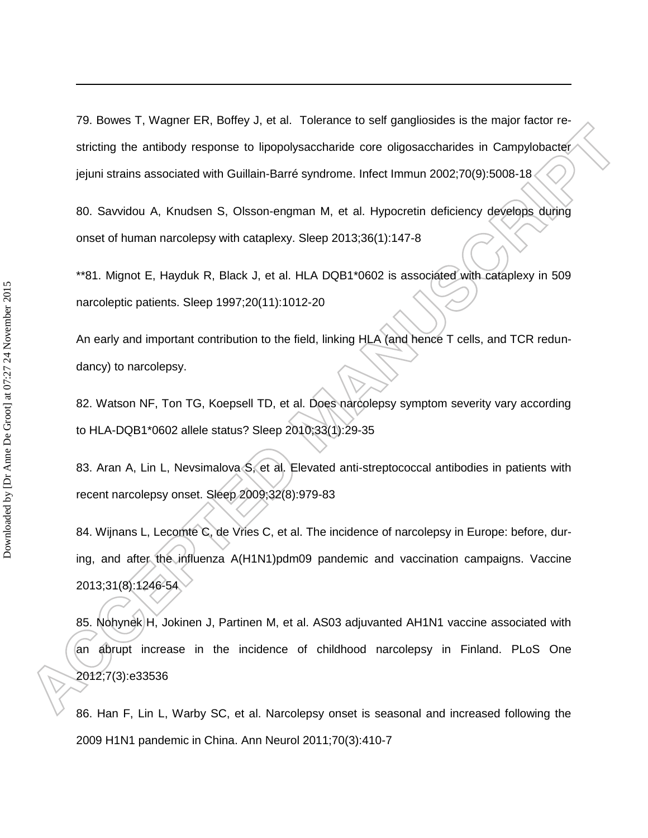79. Bowes T, Wagner ER, Boffey J, et al. Tolerance to self gangliosides is the major factor restricting the antibody response to lipopolysaccharide core oligosaccharides in Campylobacter jejuni strains associated with Guillain-Barré syndrome. Infect Immun 2002;70(9):5008-18

80. Savvidou A, Knudsen S, Olsson-engman M, et al. Hypocretin deficiency develops during onset of human narcolepsy with cataplexy. Sleep 2013;36(1):147-8

\*\*81. Mignot E, Hayduk R, Black J, et al. HLA DQB1\*0602 is associated with cataplexy in 509 narcoleptic patients. Sleep 1997;20(11):1012-20

An early and important contribution to the field, linking HLA (and hence T cells, and TCR redundancy) to narcolepsy.

82. Watson NF, Ton TG, Koepsell TD, et al. Does narcolepsy symptom severity vary according to HLA-DQB1\*0602 allele status? Sleep 2010;33(1):29-35

83. Aran A, Lin L, Nevsimalova S, et al. Elevated anti-streptococcal antibodies in patients with recent narcolepsy onset. Sleep 2009;32(8):979-83

84. Wijnans L, Lecomte C, de Vries C, et al. The incidence of narcolepsy in Europe: before, during, and after the influenza A(H1N1)pdm09 pandemic and vaccination campaigns. Vaccine 2013;31(8):1246-54

85. Nohynek H, Jokinen J, Partinen M, et al. AS03 adjuvanted AH1N1 vaccine associated with an abrupt increase in the incidence of childhood narcolepsy in Finland. PLoS One 2012;7(3):e33536

86. Han F, Lin L, Warby SC, et al. Narcolepsy onset is seasonal and increased following the 2009 H1N1 pandemic in China. Ann Neurol 2011;70(3):410-7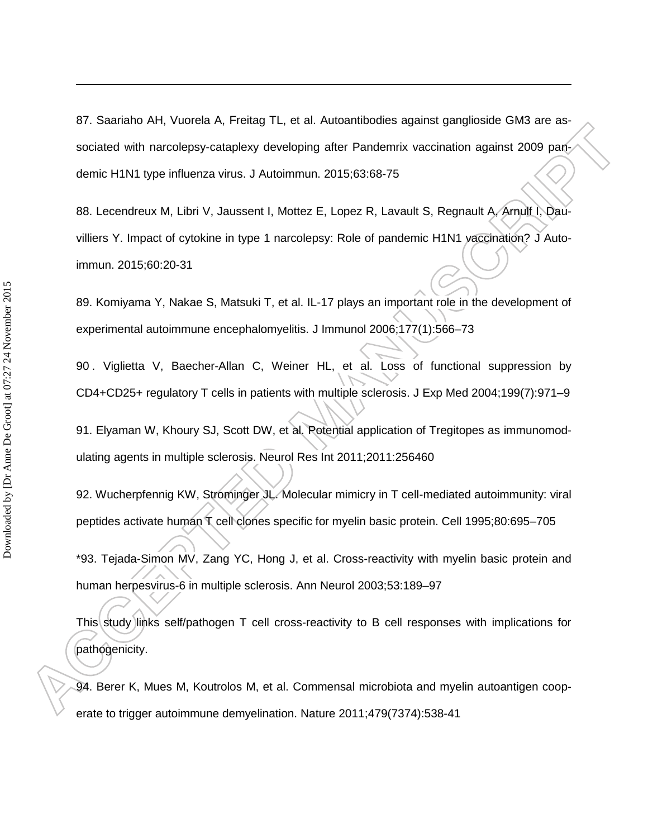87. Saariaho AH, Vuorela A, Freitag TL, et al. Autoantibodies against ganglioside GM3 are associated with narcolepsy-cataplexy developing after Pandemrix vaccination against 2009 pandemic H1N1 type influenza virus. J Autoimmun. 2015;63:68-75

88. Lecendreux M, Libri V, Jaussent I, Mottez E, Lopez R, Lavault S, Regnault A, Arnulf I, Dauvilliers Y. Impact of cytokine in type 1 narcolepsy: Role of pandemic H1N1 vaccination? J Autoimmun. 2015;60:20-31

89. Komiyama Y, Nakae S, Matsuki T, et al. IL-17 plays an important role in the development of experimental autoimmune encephalomyelitis. J Immunol 2006;177(1):566–73

90 . Viglietta V, Baecher-Allan C, Weiner HL, et al. Loss of functional suppression by CD4+CD25+ regulatory T cells in patients with multiple sclerosis. J Exp Med 2004;199(7):971–9

91. Elyaman W, Khoury SJ, Scott DW, et al. Potential application of Tregitopes as immunomodulating agents in multiple sclerosis. Neurol Res Int 2011;2011:256460

92. Wucherpfennig KW, Strominger JL. Molecular mimicry in T cell-mediated autoimmunity: viral peptides activate human T cell clones specific for myelin basic protein. Cell 1995;80:695–705

\*93. Tejada-Simon MV, Zang YC, Hong J, et al. Cross-reactivity with myelin basic protein and human herpesvirus-6 in multiple sclerosis. Ann Neurol 2003;53:189–97

This study links self/pathogen T cell cross-reactivity to B cell responses with implications for pathogenicity.

94. Berer K, Mues M, Koutrolos M, et al. Commensal microbiota and myelin autoantigen cooperate to trigger autoimmune demyelination. Nature 2011;479(7374):538-41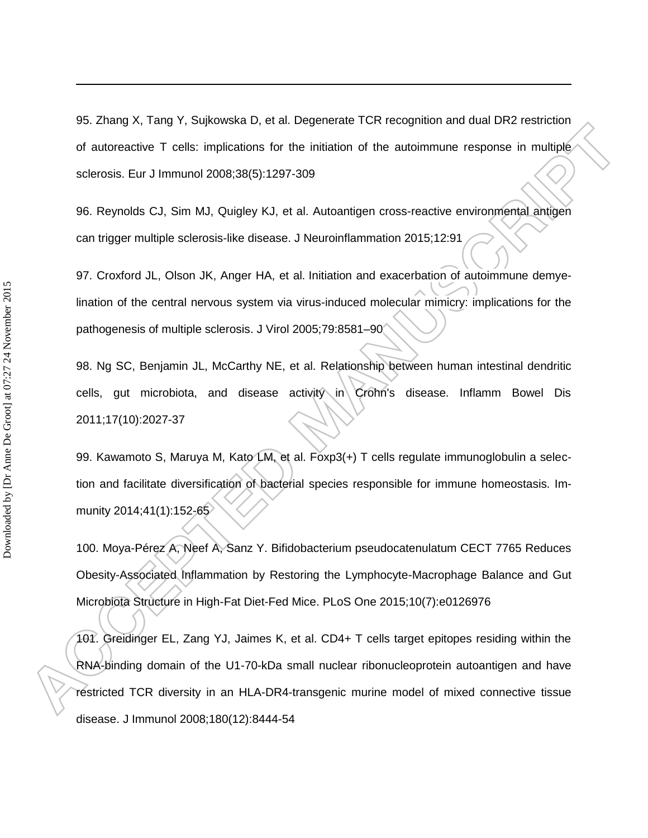95. Zhang X, Tang Y, Sujkowska D, et al. Degenerate TCR recognition and dual DR2 restriction of autoreactive T cells: implications for the initiation of the autoimmune response in multiple sclerosis. Eur J Immunol 2008;38(5):1297-309

96. Reynolds CJ, Sim MJ, Quigley KJ, et al. Autoantigen cross-reactive environmental antigen can trigger multiple sclerosis-like disease. J Neuroinflammation 2015;12:91

97. Croxford JL, Olson JK, Anger HA, et al. Initiation and exacerbation of autoimmune demyelination of the central nervous system via virus-induced molecular mimicry: implications for the pathogenesis of multiple sclerosis. J Virol 2005;79:8581–90

98. Ng SC, Benjamin JL, McCarthy NE, et al. Relationship between human intestinal dendritic cells, gut microbiota, and disease activity in Crohn's disease. Inflamm Bowel Dis 2011;17(10):2027-37

99. Kawamoto S, Maruya M, Kato LM, et al. Foxp3(+) T cells regulate immunoglobulin a selection and facilitate diversification of bacterial species responsible for immune homeostasis. Immunity 2014;41(1):152-65

100. Moya-Pérez A, Neef A, Sanz Y. Bifidobacterium pseudocatenulatum CECT 7765 Reduces Obesity-Associated Inflammation by Restoring the Lymphocyte-Macrophage Balance and Gut Microbiota Structure in High-Fat Diet-Fed Mice. PLoS One 2015;10(7):e0126976

101. Greidinger EL, Zang YJ, Jaimes K, et al. CD4+ T cells target epitopes residing within the RNA-binding domain of the U1-70-kDa small nuclear ribonucleoprotein autoantigen and have restricted TCR diversity in an HLA-DR4-transgenic murine model of mixed connective tissue disease. J Immunol 2008;180(12):8444-54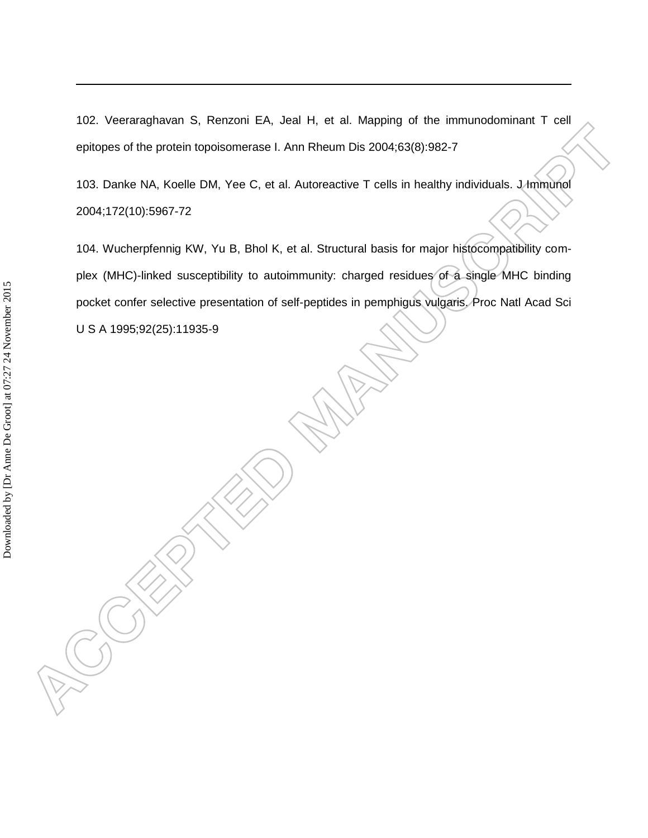102. Veeraraghavan S, Renzoni EA, Jeal H, et al. Mapping of the immunodominant T cell epitopes of the protein topoisomerase I. Ann Rheum Dis 2004;63(8):982-7

103. Danke NA, Koelle DM, Yee C, et al. Autoreactive T cells in healthy individuals. J Immunol 2004;172(10):5967-72

104. Wucherpfennig KW, Yu B, Bhol K, et al. Structural basis for major histocompatibility complex (MHC)-linked susceptibility to autoimmunity: charged residues of a single MHC binding pocket confer selective presentation of self-peptides in pemphigus vulgaris. Proc Natl Acad Sci U S A 1995;92(25):11935-9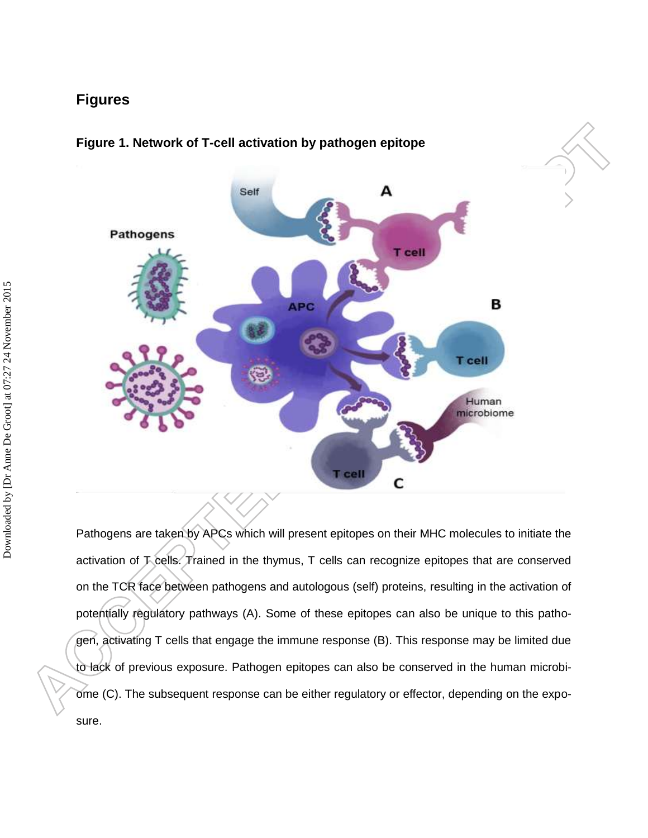### **Figures**



### **Figure 1. Network of T-cell activation by pathogen epitope**

Pathogens are taken by APCs which will present epitopes on their MHC molecules to initiate the activation of T cells. Trained in the thymus, T cells can recognize epitopes that are conserved on the TCR face between pathogens and autologous (self) proteins, resulting in the activation of potentially regulatory pathways (A). Some of these epitopes can also be unique to this pathogen, activating T cells that engage the immune response (B). This response may be limited due to lack of previous exposure. Pathogen epitopes can also be conserved in the human microbiome (C). The subsequent response can be either regulatory or effector, depending on the exposure.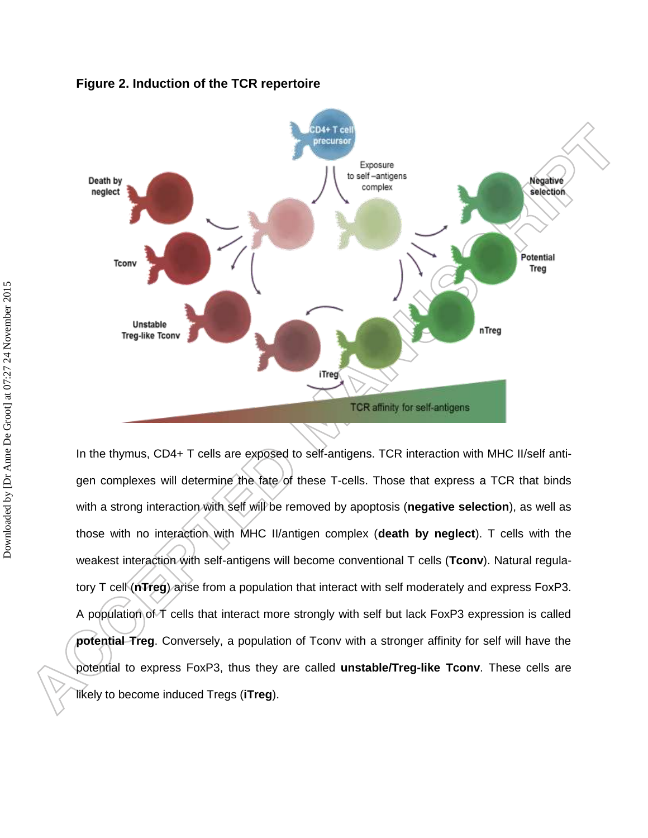



In the thymus, CD4+ T cells are exposed to self-antigens. TCR interaction with MHC II/self antigen complexes will determine the fate of these T-cells. Those that express a TCR that binds with a strong interaction with self will be removed by apoptosis (**negative selection**), as well as those with no interaction with MHC II/antigen complex (**death by neglect**). T cells with the weakest interaction with self-antigens will become conventional T cells (**Tconv**). Natural regulatory T cell (**nTreg**) arise from a population that interact with self moderately and express FoxP3. A population of T cells that interact more strongly with self but lack FoxP3 expression is called **potential Treg**. Conversely, a population of Tconv with a stronger affinity for self will have the potential to express FoxP3, thus they are called **unstable/Treg-like Tconv**. These cells are likely to become induced Tregs (**iTreg**).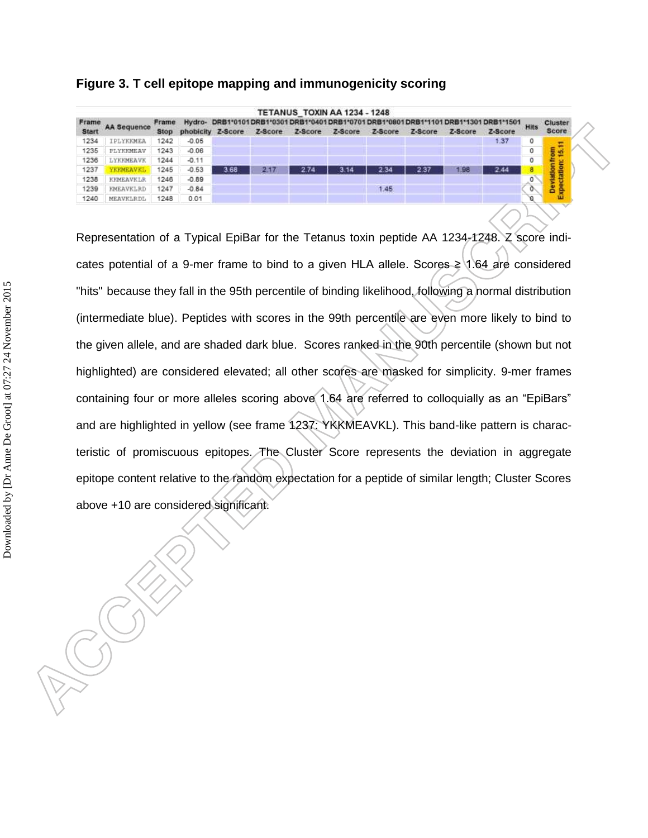#### **Figure 3. T cell epitope mapping and immunogenicity scoring**

| Frame<br><b>Start</b> | <b>AA Sequence</b> | Frame | DRB1*0101DRB1*0301DRB1*0401DRB1*0701DRB1*0801DRB1*1101DRB1*1301DRB1*1501<br>Hydro- |      |         |         |         |         |         |         |         |      | Cluster                          |
|-----------------------|--------------------|-------|------------------------------------------------------------------------------------|------|---------|---------|---------|---------|---------|---------|---------|------|----------------------------------|
|                       |                    | Stop  | phobicity Z-Score                                                                  |      | Z-Score | Z-Score | Z-Score | Z-Score | Z-Score | Z-Score | Z-Score | Hits | Score                            |
| 1234                  | IPLYKKMEA          | 1242  | $-0.05$                                                                            |      |         |         |         |         |         |         | 1.37    | 0    | π                                |
| 1235                  | PLYKKMEAV          | 1243  | $-0.06$                                                                            |      |         |         |         |         |         |         |         | 0    | 뾰                                |
| 1236                  | LYKKMEAVK          | 1244  | $-0.11$                                                                            |      |         |         |         |         |         |         |         | 0    |                                  |
| 1237                  | <b>YEKMEAVKL</b>   | 1245  | $-0.53$                                                                            | 3.68 | 2.17    | 2.74    | 3.14    | 2.34    | 2.37    | 1.98    | 2.44    | 8    | <b>Deviation from</b><br>tation: |
| 1238                  | <b>KKMEAVKLR</b>   | 1246  | $-0.89$                                                                            |      |         |         |         |         |         |         |         | 0    |                                  |
| 1239                  | <b>KMEAVKLRD</b>   | 1247  | $-0.84$                                                                            |      |         |         |         | 1.45    |         |         |         | ٥    | ě                                |
| 1240                  | MEAVKLRDL          | 1248  | 0.01                                                                               |      |         |         |         |         |         |         |         | ø    | ш                                |

Representation of a Typical EpiBar for the Tetanus toxin peptide AA 1234-1248. Z score indicates potential of a 9-mer frame to bind to a given HLA allele. Scores  $\geq$  1.64 are considered "hits" because they fall in the 95th percentile of binding likelihood, following a normal distribution (intermediate blue). Peptides with scores in the 99th percentile are even more likely to bind to the given allele, and are shaded dark blue. Scores ranked in the 90th percentile (shown but not highlighted) are considered elevated; all other scores are masked for simplicity. 9-mer frames containing four or more alleles scoring above 1.64 are referred to colloquially as an "EpiBars" and are highlighted in yellow (see frame 1237: YKKMEAVKL). This band-like pattern is characteristic of promiscuous epitopes. The Cluster Score represents the deviation in aggregate epitope content relative to the random expectation for a peptide of similar length; Cluster Scores above +10 are considered significant.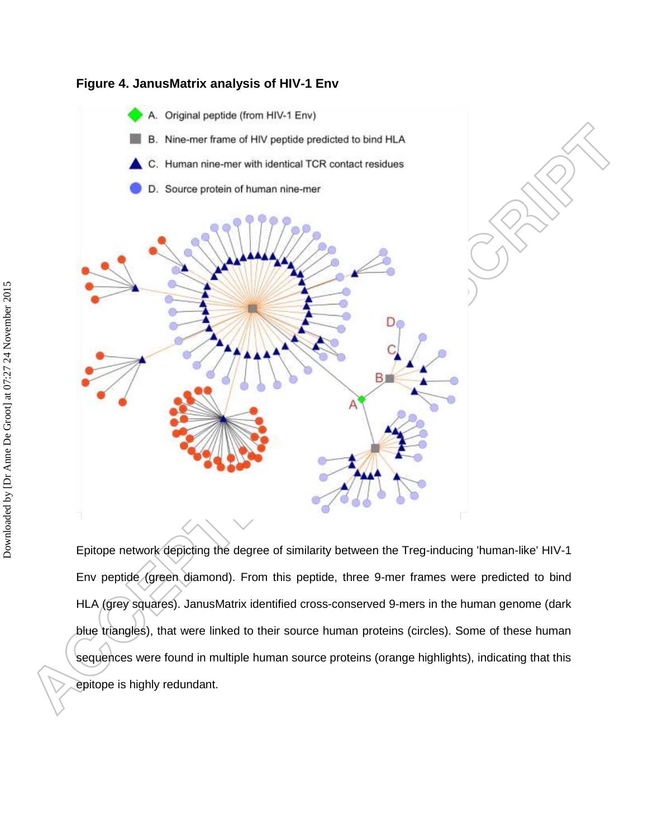

#### **Figure 4. JanusMatrix analysis of HIV-1 Env**

Epitope network depicting the degree of similarity between the Treg-inducing 'human-like' HIV-1 Env peptide (green diamond). From this peptide, three 9-mer frames were predicted to bind HLA (grey squares). JanusMatrix identified cross-conserved 9-mers in the human genome (dark blue triangles), that were linked to their source human proteins (circles). Some of these human sequences were found in multiple human source proteins (orange highlights), indicating that this epitope is highly redundant.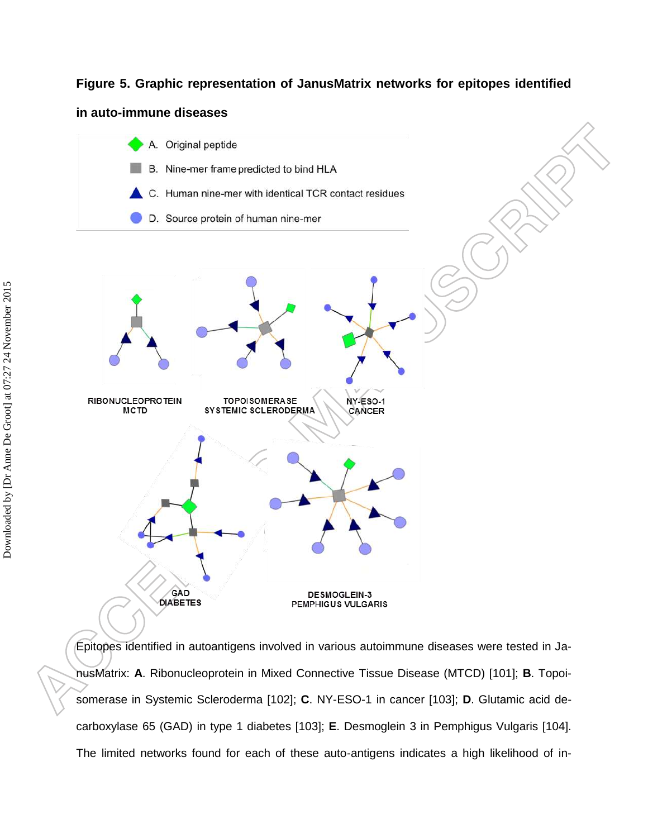#### **Figure 5. Graphic representation of JanusMatrix networks for epitopes identified**

#### **in auto-immune diseases**



<span id="page-42-0"></span>Epitopes identified in autoantigens involved in various autoimmune diseases were tested in JanusMatrix: **A**. Ribonucleoprotein in Mixed Connective Tissue Disease (MTCD) [101]; **B**. Topoisomerase in Systemic Scleroderma [102]; **C**. NY-ESO-1 in cancer [103]; **D**. Glutamic acid decarboxylase 65 (GAD) in type 1 diabetes [\[103\]](#page-42-0); **E**. Desmoglein 3 in Pemphigus Vulgaris [104]. The limited networks found for each of these auto-antigens indicates a high likelihood of in-